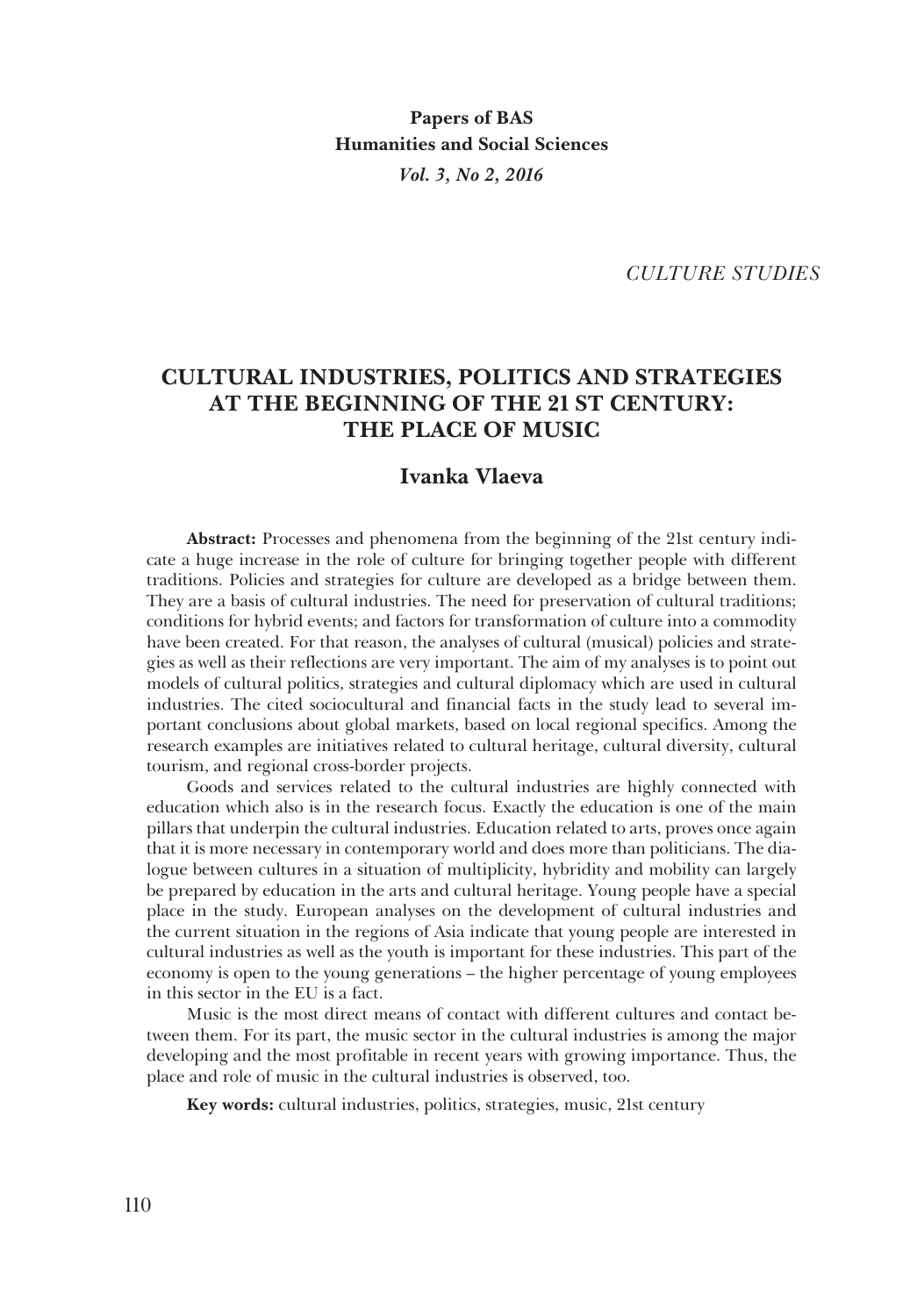*CULTURE STUDIES*

# **CULTURAL INDUSTRIES, POLITICS AND STRATEGIES AT THE BEGINNING OF THE 21 ST CENTURY: THE PLACE OF MUSIC**

# **Ivanka Vlaeva**

**Abstract:** Processes and phenomena from the beginning of the 21st century indicate a huge increase in the role of culture for bringing together people with different traditions. Policies and strategies for culture are developed as a bridge between them. They are a basis of cultural industries. The need for preservation of cultural traditions; conditions for hybrid events; and factors for transformation of culture into a commodity have been created. For that reason, the analyses of cultural (musical) policies and strategies as well as their reflections are very important. The aim of my analyses is to point out models of cultural politics, strategies and cultural diplomacy which are used in cultural industries. The cited sociocultural and financial facts in the study lead to several im� portant conclusions about global markets, based on local regional specifics. Among the research examples are initiatives related to cultural heritage, cultural diversity, cultural tourism, and regional cross-border projects.

Goods and services related to the cultural industries are highly connected with education which also is in the research focus. Exactly the education is one of the main pillars that underpin the cultural industries. Education related to arts, proves once again that it is more necessary in contemporary world and does more than politicians. The dialogue between cultures in a situation of multiplicity, hybridity and mobility can largely be prepared by education in the arts and cultural heritage. Young people have a special place in the study. European analyses on the development of cultural industries and the current situation in the regions of Asia indicate that young people are interested in cultural industries as well as the youth is important for these industries. This part of the economy is open to the young generations – the higher percentage of young employees in this sector in the EU is a fact.

Music is the most direct means of contact with different cultures and contact be� tween them. For its part, the music sector in the cultural industries is among the major developing and the most profitable in recent years with growing importance. Thus, the place and role of music in the cultural industries is observed, too.

**Key words:** cultural industries, politics, strategies, music, 21st century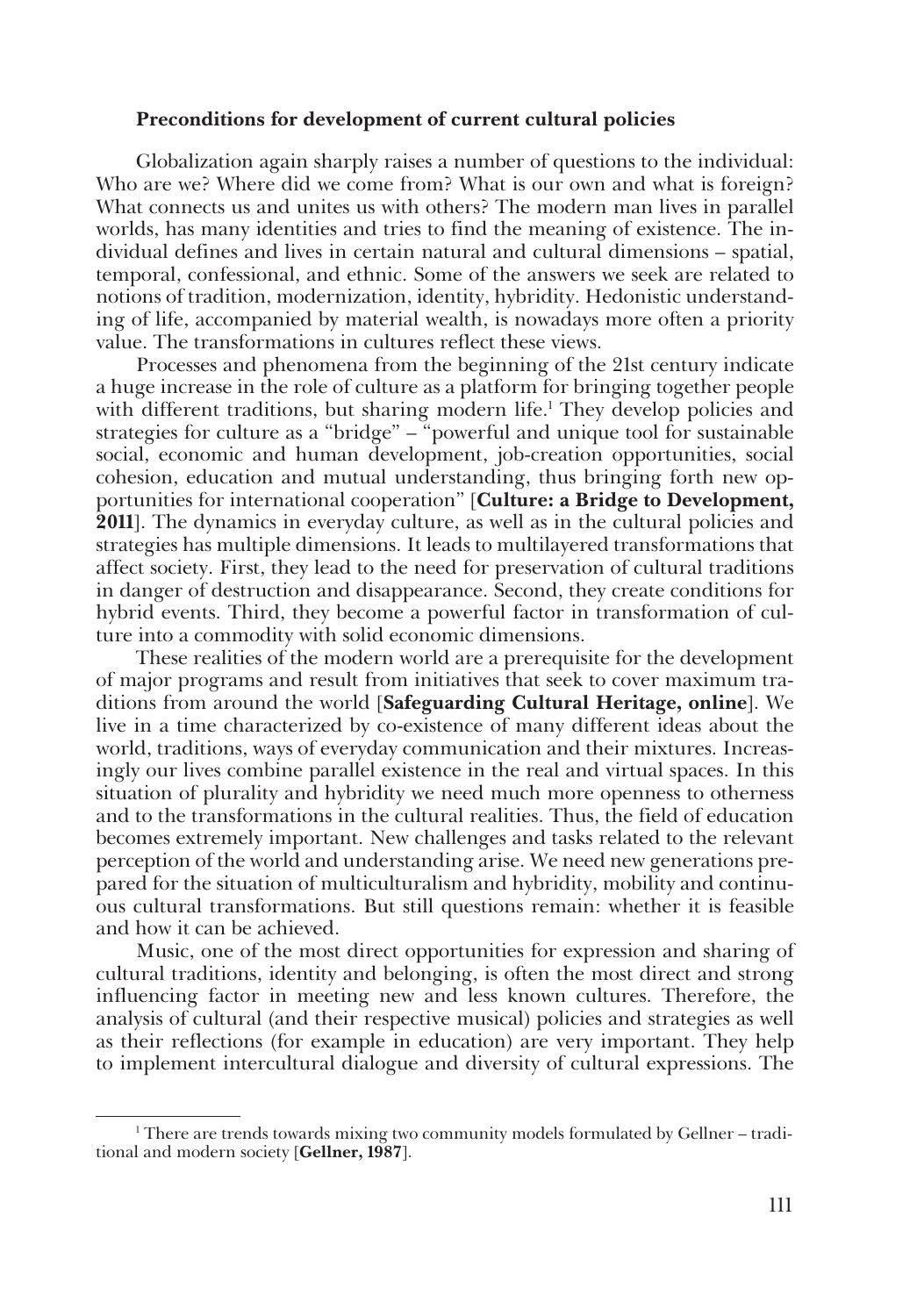#### **Preconditions for development of current cultural policies**

Globalization again sharply raises a number of questions to the individual: Who are we? Where did we come from? What is our own and what is foreign? What connects us and unites us with others? The modern man lives in parallel worlds, has many identities and tries to find the meaning of existence. The individual defines and lives in certain natural and cultural dimensions – spatial, temporal, confessional, and ethnic. Some of the answers we seek are related to notions of tradition, modernization, identity, hybridity. Hedonistic understand� ing of life, accompanied by material wealth, is nowadays more often a priority value. The transformations in cultures reflect these views.

Processes and phenomena from the beginning of the 21st century indicate a huge increase in the role of culture as a platform for bringing together people with different traditions, but sharing modern life.<sup>1</sup> They develop policies and strategies for culture as a "bridge" – "powerful and unique tool for sustainable social, economic and human development, job-creation opportunities, social cohesion, education and mutual understanding, thus bringing forth new opportunities for international cooperation" [**Culture: a Bridge to Development, 2011**. The dynamics in everyday culture, as well as in the cultural policies and strategies has multiple dimensions. It leads to multilayered transformations that affect society. First, they lead to the need for preservation of cultural traditions in danger of destruction and disappearance. Second, they create conditions for hybrid events. Third, they become a powerful factor in transformation of culture into a commodity with solid economic dimensions.

These realities of the modern world are a prerequisite for the development of major programs and result from initiatives that seek to cover maximum tra� ditions from around the world [**Safeguarding Cultural Heritage, online**]. We live in a time characterized by co-existence of many different ideas about the world, traditions, ways of everyday communication and their mixtures. Increasingly our lives combine parallel existence in the real and virtual spaces. In this situation of plurality and hybridity we need much more openness to otherness and to the transformations in the cultural realities. Thus, the field of education becomes extremely important. New challenges and tasks related to the relevant perception of the world and understanding arise. We need new generations pre� pared for the situation of multiculturalism and hybridity, mobility and continu� ous cultural transformations. But still questions remain: whether it is feasible and how it can be achieved.

Music, one of the most direct opportunities for expression and sharing of cultural traditions, identity and belonging, is often the most direct and strong influencing factor in meeting new and less known cultures. Therefore, the analysis of cultural (and their respective musical) policies and strategies as well as their reflections (for example in education) are very important. They help to implement intercultural dialogue and diversity of cultural expressions. The

 $1$ <sup>1</sup> There are trends towards mixing two community models formulated by Gellner – traditional and modern society [**Gellner, 1987**].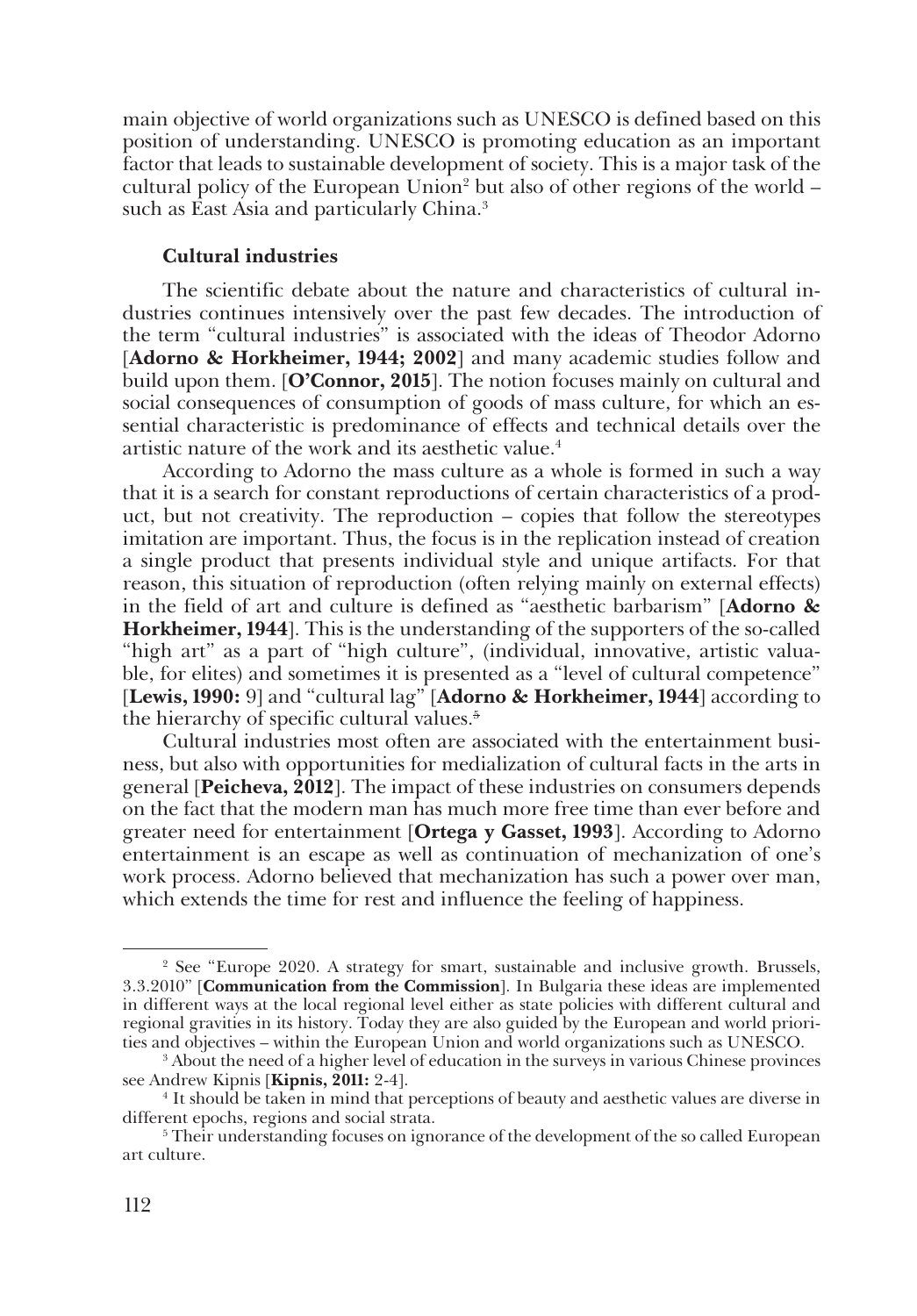main objective of world organizations such as UNESCO is defined based on this position of understanding. UNESCO is promoting education as an important factor that leads to sustainable development of society. This is a major task of the cultural policy of the European Union<sup>2</sup> but also of other regions of the world – such as East Asia and particularly China.<sup>3</sup>

# **Cultural industries**

The scientific debate about the nature and characteristics of cultural industries continues intensively over the past few decades. The introduction of the term "cultural industries" is associated with the ideas of Theodor Adorno [**Adorno & Horkheimer, 1944; 2002**] and many academic studies follow and build upon them. [**O'Connor, 2015**]. The notion focuses mainly on cultural and social consequences of consumption of goods of mass culture, for which an essential characteristic is predominance of effects and technical details over the artistic nature of the work and its aesthetic value.<sup>4</sup>

According to Adorno the mass culture as a whole is formed in such a way that it is a search for constant reproductions of certain characteristics of a product, but not creativity. The reproduction – copies that follow the stereotypes imitation are important. Thus, the focus is in the replication instead of creation a single product that presents individual style and unique artifacts. For that reason, this situation of reproduction (often relying mainly on external effects) in the field of art and culture is defined as "aesthetic barbarism" [**Adorno & Horkheimer, 1944**]. This is the understanding of the supporters of the so-called "high art" as a part of "high culture", (individual, innovative, artistic valuable, for elites) and sometimes it is presented as a "level of cultural competence" [**Lewis, 1990:** 9] and "cultural lag" [**Adorno & Horkheimer, 1944**] according to the hierarchy of specific cultural values.<sup>5</sup>

Cultural industries most often are associated with the entertainment business, but also with opportunities for medialization of cultural facts in the arts in general [**Peicheva, 2012**]. The impact of these industries on consumers depends on the fact that the modern man has much more free time than ever before and greater need for entertainment [**Ortega y Gasset, 1993**]. According to Adorno entertainment is an escape as well as continuation of mechanization of one's work process. Adorno believed that mechanization has such a power over man, which extends the time for rest and influence the feeling of happiness.

<sup>2</sup> See "Europe 2020. A strategy for smart, sustainable and inclusive growth. Brussels, 3.3.2010" [**Communication from the Commission**]. In Bulgaria these ideas are implemented in different ways at the local regional level either as state policies with different cultural and regional gravities in its history. Today they are also guided by the European and world priori� ties and objectives – within the European Union and world organizations such as UNESCO.

<sup>3</sup> About the need of a higher level of education in the surveys in various Chinese provinces see Andrew Kipnis [**Kipnis, 2011:** 2-4].

<sup>4</sup> It should be taken in mind that perceptions of beauty and aesthetic values are diverse in different epochs, regions and social strata.

<sup>&</sup>lt;sup>5</sup> Their understanding focuses on ignorance of the development of the so called European art culture.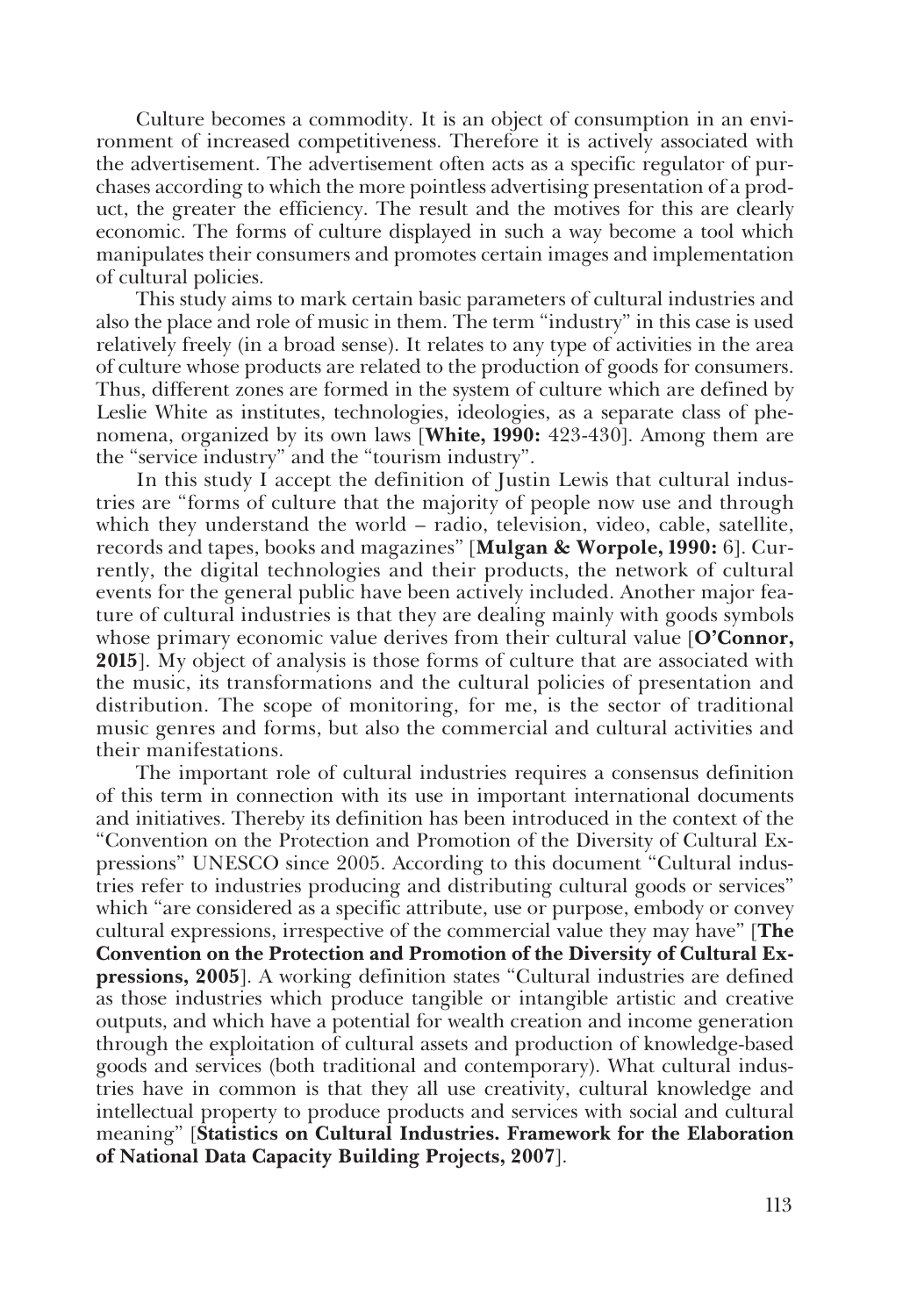Culture becomes a commodity. It is an object of consumption in an environment of increased competitiveness. Therefore it is actively associated with the advertisement. The advertisement often acts as a specific regulator of pur� chases according to which the more pointless advertising presentation of a prod� uct, the greater the efficiency. The result and the motives for this are clearly economic. The forms of culture displayed in such a way become a tool which manipulates their consumers and promotes certain images and implementation of cultural policies.

This study aims to mark certain basic parameters of cultural industries and also the place and role of music in them. The term "industry" in this case is used relatively freely (in a broad sense). It relates to any type of activities in the area of culture whose products are related to the production of goods for consumers. Thus, different zones are formed in the system of culture which are defined by Leslie White as institutes, technologies, ideologies, as a separate class of phe� nomena, organized by its own laws [**White, 1990:** 423-430]. Among them are the "service industry" and the "tourism industry".

In this study I accept the definition of Justin Lewis that cultural industries are "forms of culture that the majority of people now use and through which they understand the world – radio, television, video, cable, satellite, records and tapes, books and magazines" [Mulgan & Worpole, 1990: 6]. Currently, the digital technologies and their products, the network of cultural events for the general public have been actively included. Another major feature of cultural industries is that they are dealing mainly with goods symbols whose primary economic value derives from their cultural value [**O'Connor, 2015**]. My object of analysis is those forms of culture that are associated with the music, its transformations and the cultural policies of presentation and distribution. The scope of monitoring, for me, is the sector of traditional music genres and forms, but also the commercial and cultural activities and their manifestations.

The important role of cultural industries requires a consensus definition of this term in connection with its use in important international documents and initiatives. Thereby its definition has been introduced in the context of the "Convention on the Protection and Promotion of the Diversity of Cultural Ex� pressions" UNESCO since 2005. According to this document "Cultural indus� tries refer to industries producing and distributing cultural goods or services" which "are considered as a specific attribute, use or purpose, embody or convey cultural expressions, irrespective of the commercial value they may have" [**The Convention on the Protection and Promotion of the Diversity of Cultural Expressions, 2005**]. A working definition states "Cultural industries are defined as those industries which produce tangible or intangible artistic and creative outputs, and which have a potential for wealth creation and income generation through the exploitation of cultural assets and production of knowledge-based goods and services (both traditional and contemporary). What cultural indus� tries have in common is that they all use creativity, cultural knowledge and intellectual property to produce products and services with social and cultural meaning" [**Statistics on Cultural Industries. Framework for the Elaboration of National Data Capacity Building Projects, 2007**].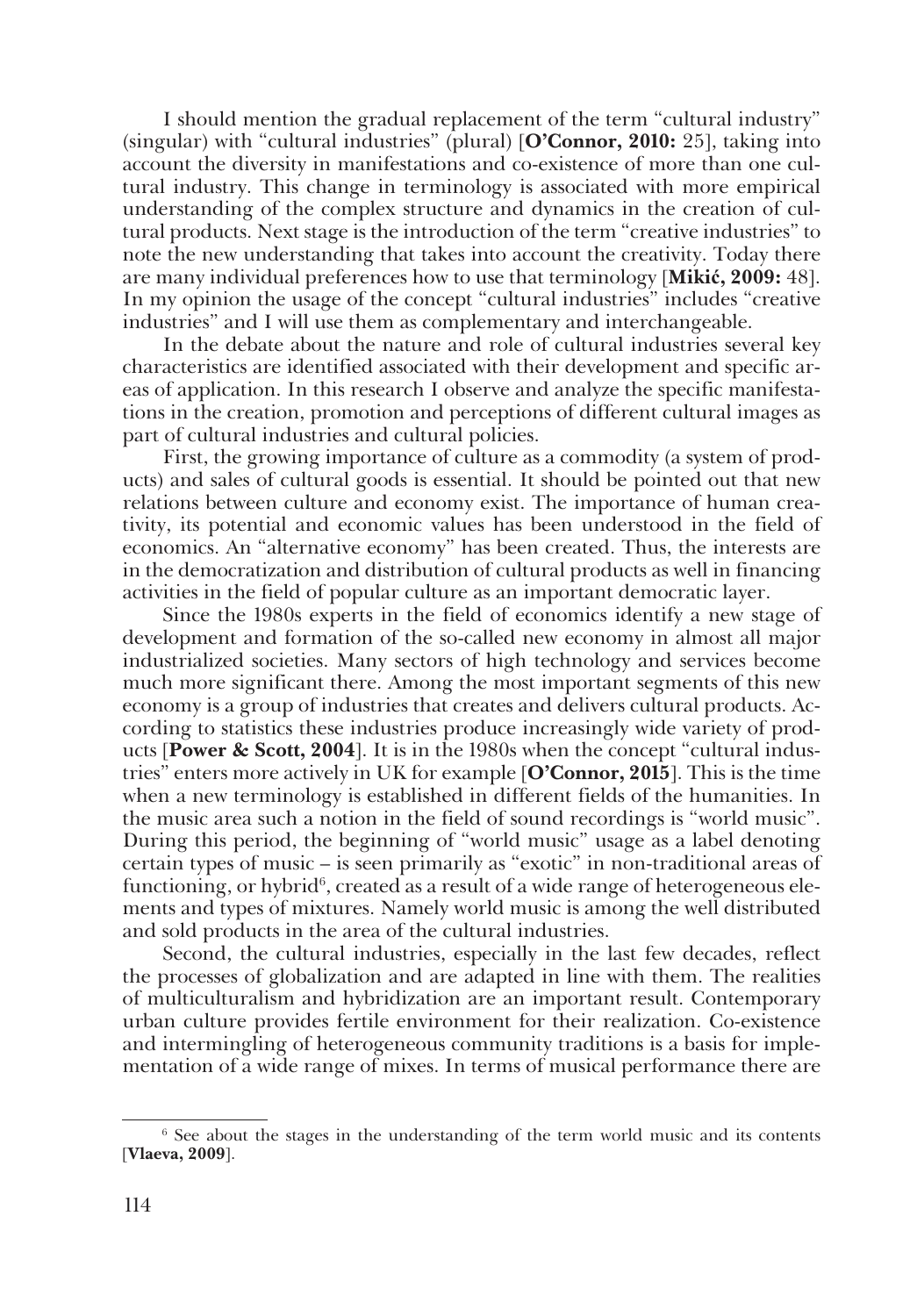I should mention the gradual replacement of the term "cultural industry" (singular) with "cultural industries" (plural) [**O'Connor, 2010:** 25], taking into account the diversity in manifestations and co-existence of more than one cul� tural industry. This change in terminology is associated with more empirical understanding of the complex structure and dynamics in the creation of cul tural products. Next stage is the introduction of the term "creative industries" to note the new understanding that takes into account the creativity. Today there are many individual preferences how to use that terminology [**Mikić, 2009:** 48]. In my opinion the usage of the concept "cultural industries" includes "creative industries" and I will use them as complementary and interchangeable.

In the debate about the nature and role of cultural industries several key characteristics are identified associated with their development and specific ar� eas of application. In this research I observe and analyze the specific manifesta� tions in the creation, promotion and perceptions of different cultural images as part of cultural industries and cultural policies.

First, the growing importance of culture as a commodity (a system of products) and sales of cultural goods is essential. It should be pointed out that new relations between culture and economy exist. The importance of human crea� tivity, its potential and economic values has been understood in the field of economics. An "alternative economy" has been created. Thus, the interests are in the democratization and distribution of cultural products as well in financing activities in the field of popular culture as an important democratic layer.

Since the 1980s experts in the field of economics identify a new stage of development and formation of the so-called new economy in almost all major industrialized societies. Many sectors of high technology and services become much more significant there. Among the most important segments of this new economy is a group of industries that creates and delivers cultural products. Ac� cording to statistics these industries produce increasingly wide variety of prod� ucts [**Power & Scott, 2004**]. It is in the 1980s when the concept "cultural indus� tries" enters more actively in UK for example [**O'Connor, 2015**]. This is the time when a new terminology is established in different fields of the humanities. In the music area such a notion in the field of sound recordings is "world music". During this period, the beginning of "world music" usage as a label denoting certain types of music – is seen primarily as "exotic" in non-traditional areas of functioning, or hybrid $\mathfrak{h}$ , created as a result of a wide range of heterogeneous elements and types of mixtures. Namely world music is among the well distributed and sold products in the area of the cultural industries.

Second, the cultural industries, especially in the last few decades, reflect the processes of globalization and are adapted in line with them. The realities of multiculturalism and hybridization are an important result. Contemporary urban culture provides fertile environment for their realization. Co-existence and intermingling of heterogeneous community traditions is a basis for implementation of a wide range of mixes. In terms of musical performance there are

<sup>&</sup>lt;sup>6</sup> See about the stages in the understanding of the term world music and its contents [**Vlaeva, 2009**].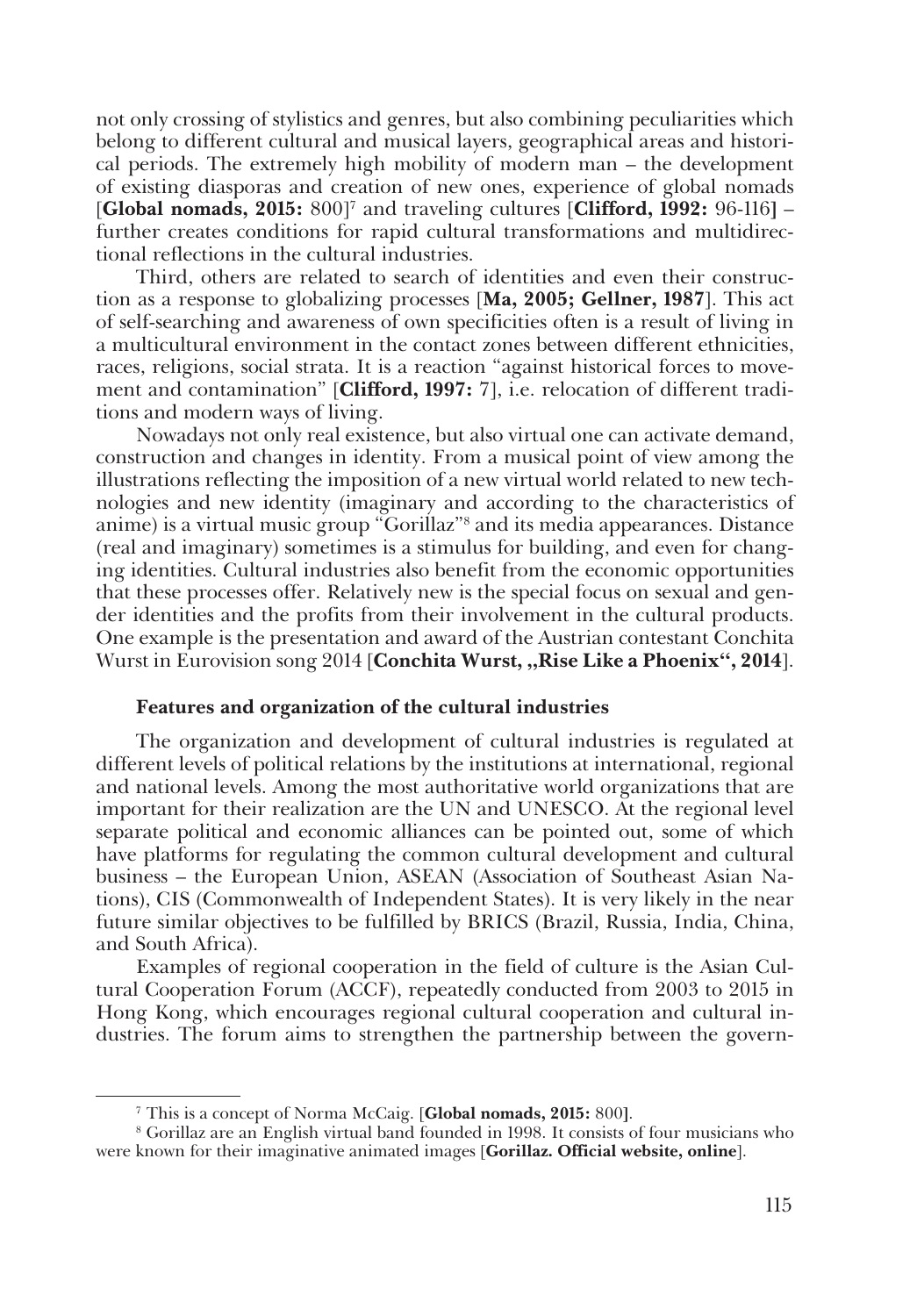not only crossing of stylistics and genres, but also combining peculiarities which belong to different cultural and musical layers, geographical areas and histori� cal periods. The extremely high mobility of modern man – the development of existing diasporas and creation of new ones, experience of global nomads [**Global nomads, 2015:** 800]7 and traveling cultures [**Clifford, 1992:** 96-116**]** – further creates conditions for rapid cultural transformations and multidirectional reflections in the cultural industries.

Third, others are related to search of identities and even their construction as a response to globalizing processes [**Ma, 2005; Gellner, 1987**]. This act of self-searching and awareness of own specificities often is a result of living in a multicultural environment in the contact zones between different ethnicities, races, religions, social strata. It is a reaction "against historical forces to move� ment and contamination" [Clifford, 1997: 7], i.e. relocation of different traditions and modern ways of living.

Nowadays not only real existence, but also virtual one can activate demand, construction and changes in identity. From a musical point of view among the illustrations reflecting the imposition of a new virtual world related to new tech� nologies and new identity (imaginary and according to the characteristics of anime) is a virtual music group "Gorillaz"<sup>s</sup> and its media appearances. Distance (real and imaginary) sometimes is a stimulus for building, and even for chang� ing identities. Cultural industries also benefit from the economic opportunities that these processes offer. Relatively new is the special focus on sexual and gen� der identities and the profits from their involvement in the cultural products. One example is the presentation and award of the Austrian contestant Conchita Wurst in Eurovision song 2014 [**Conchita Wurst, "Rise Like a Phoenix", 2014**].

#### **Features and organization of the cultural industries**

The organization and development of cultural industries is regulated at different levels of political relations by the institutions at international, regional and national levels. Among the most authoritative world organizations that are important for their realization are the UN and UNESCO. At the regional level separate political and economic alliances can be pointed out, some of which have platforms for regulating the common cultural development and cultural business – the European Union, ASEAN (Association of Southeast Asian Nations), CIS (Commonwealth of Independent States). It is very likely in the near future similar objectives to be fulfilled by BRICS (Brazil, Russia, India, China, and South Africa).

Examples of regional cooperation in the field of culture is the Asian Cultural Cooperation Forum (ACCF), repeatedly conducted from 2003 to 2015 in Hong Kong, which encourages regional cultural cooperation and cultural industries. The forum aims to strengthen the partnership between the govern�

<sup>7</sup> This is a concept of Norma McCaig. [**Global nomads, 2015:** 800**]**.

<sup>8</sup> Gorillaz are an English virtual band founded in 1998. It consists of four musicians who were known for their imaginative animated images [**Gorillaz. Official website, online**].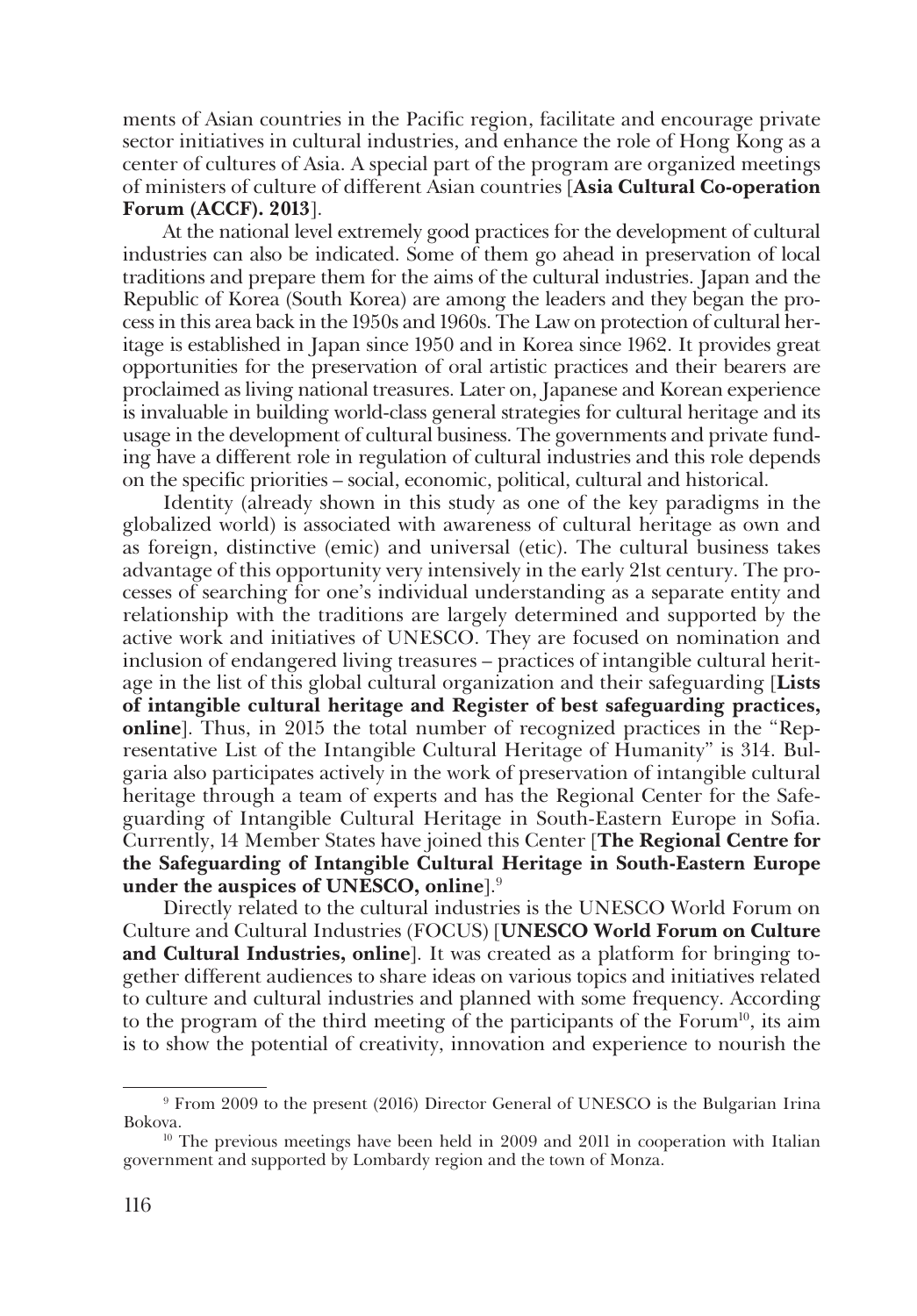ments of Asian countries in the Pacific region, facilitate and encourage private sector initiatives in cultural industries, and enhance the role of Hong Kong as a center of cultures of Asia. A special part of the program are organized meetings of ministers of culture of different Asian countries [**Asia Cultural Co-operation Forum (ACCF). 2013**].

At the national level extremely good practices for the development of cultural industries can also be indicated. Some of them go ahead in preservation of local traditions and prepare them for the aims of the cultural industries. Japan and the Republic of Korea (South Korea) are among the leaders and they began the pro� cess in this area back in the 1950s and 1960s. The Law on protection of cultural her� itage is established in Japan since 1950 and in Korea since 1962. It provides great opportunities for the preservation of oral artistic practices and their bearers are proclaimed as living national treasures. Later on, Japanese and Korean experience is invaluable in building world-class general strategies for cultural heritage and its usage in the development of cultural business. The governments and private fund� ing have a different role in regulation of cultural industries and this role depends on the specific priorities – social, economic, political, cultural and historical.

Identity (already shown in this study as one of the key paradigms in the globalized world) is associated with awareness of cultural heritage as own and as foreign, distinctive (emic) and universal (etic). The cultural business takes advantage of this opportunity very intensively in the early 21st century. The pro� cesses of searching for one's individual understanding as a separate entity and relationship with the traditions are largely determined and supported by the active work and initiatives of UNESCO. They are focused on nomination and inclusion of endangered living treasures – practices of intangible cultural herit� age in the list of this global cultural organization and their safeguarding [**Lists of intangible cultural heritage and Register of best safeguarding practices, online**]. Thus, in 2015 the total number of recognized practices in the "Representative List of the Intangible Cultural Heritage of Humanity" is 314. Bul� garia also participates actively in the work of preservation of intangible cultural heritage through a team of experts and has the Regional Center for the Safeguarding of Intangible Cultural Heritage in South-Eastern Europe in Sofia. Currently, 14 Member States have joined this Center [**The Regional Centre for the Safeguarding of Intangible Cultural Heritage in South-Eastern Europe under the auspices of UNESCO, online**].9

Directly related to the cultural industries is the UNESCO World Forum on Culture and Cultural Industries (FOCUS) [**UNESCO World Forum on Culture**  and Cultural Industries, online<sup>]</sup>. It was created as a platform for bringing together different audiences to share ideas on various topics and initiatives related to culture and cultural industries and planned with some frequency. According to the program of the third meeting of the participants of the Forum<sup>10</sup>, its aim is to show the potential of creativity, innovation and experience to nourish the

<sup>9</sup> From 2009 to the present (2016) Director General of UNESCO is the Bulgarian Irina Bokova.

 $10$  The previous meetings have been held in 2009 and 2011 in cooperation with Italian government and supported by Lombardy region and the town of Monza.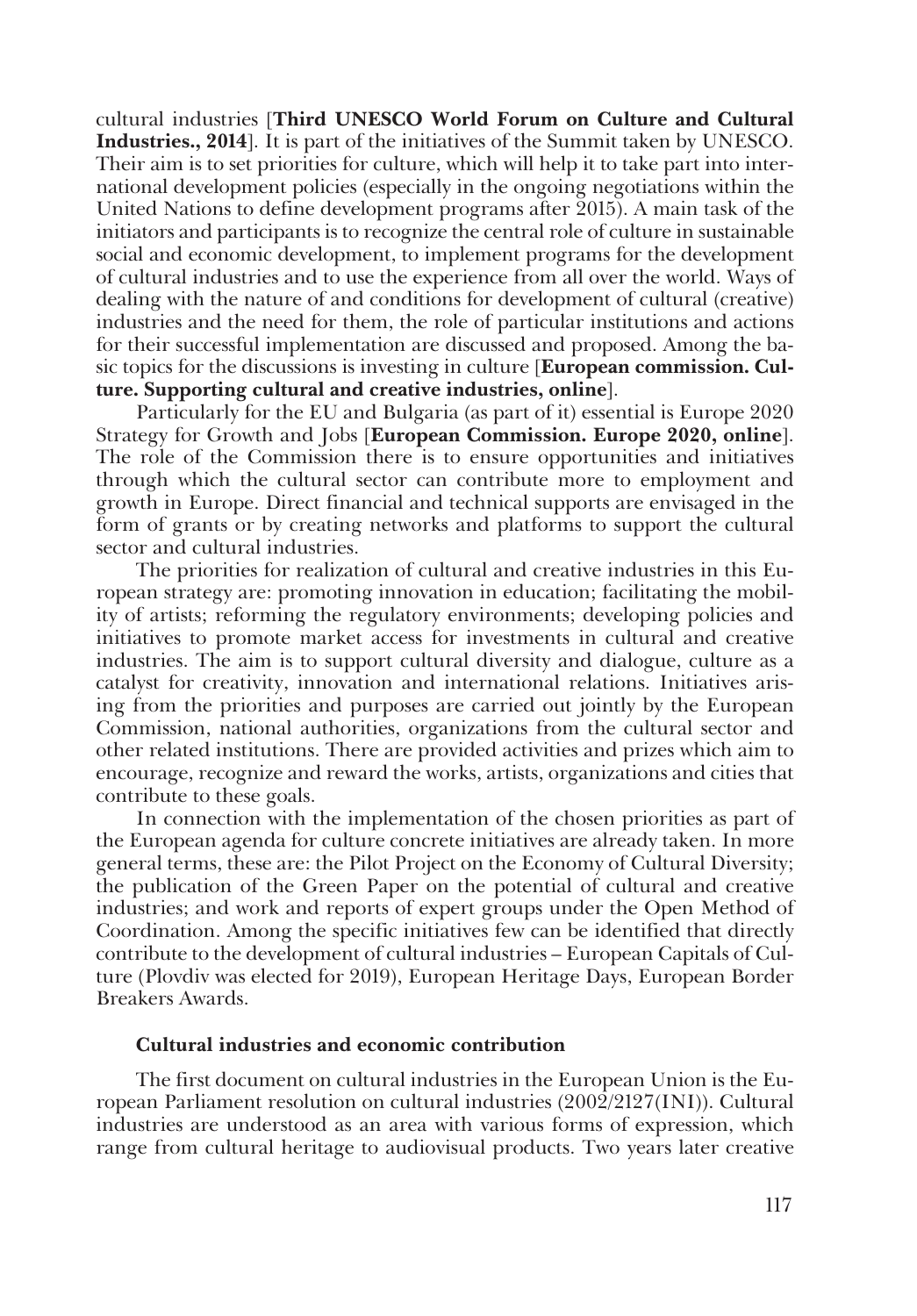cultural industries [**Third UNESCO World Forum on Culture and Cultural Industries., 2014**]. It is part of the initiatives of the Summit taken by UNESCO. Their aim is to set priorities for culture, which will help it to take part into inter� national development policies (especially in the ongoing negotiations within the United Nations to define development programs after 2015). A main task of the initiators and participants is to recognize the central role of culture in sustainable social and economic development, to implement programs for the development of cultural industries and to use the experience from all over the world. Ways of dealing with the nature of and conditions for development of cultural (creative) industries and the need for them, the role of particular institutions and actions for their successful implementation are discussed and proposed. Among the basic topics for the discussions is investing in culture [**European commission. Culture. Supporting cultural and creative industries, online**].

Particularly for the EU and Bulgaria (as part of it) essential is Europe 2020 Strategy for Growth and Jobs [**European Commission. Europe 2020, online**]. The role of the Commission there is to ensure opportunities and initiatives through which the cultural sector can contribute more to employment and growth in Europe. Direct financial and technical supports are envisaged in the form of grants or by creating networks and platforms to support the cultural sector and cultural industries.

The priorities for realization of cultural and creative industries in this European strategy are: promoting innovation in education; facilitating the mobility of artists; reforming the regulatory environments; developing policies and initiatives to promote market access for investments in cultural and creative industries. The aim is to support cultural diversity and dialogue, culture as a catalyst for creativity, innovation and international relations. Initiatives arising from the priorities and purposes are carried out jointly by the European Commission, national authorities, organizations from the cultural sector and other related institutions. There are provided activities and prizes which aim to encourage, recognize and reward the works, artists, organizations and cities that contribute to these goals.

In connection with the implementation of the chosen priorities as part of the European agenda for culture concrete initiatives are already taken. In more general terms, these are: the Pilot Project on the Economy of Cultural Diversity; the publication of the Green Paper on the potential of cultural and creative industries; and work and reports of expert groups under the Open Method of Coordination. Among the specific initiatives few can be identified that directly contribute to the development of cultural industries – European Capitals of Cul� ture (Plovdiv was elected for 2019), European Heritage Days, European Border Breakers Awards.

#### **Cultural industries and economic contribution**

The first document on cultural industries in the European Union is the European Parliament resolution on cultural industries (2002/2127(INI)). Cultural industries are understood as an area with various forms of expression, which range from cultural heritage to audiovisual products. Two years later creative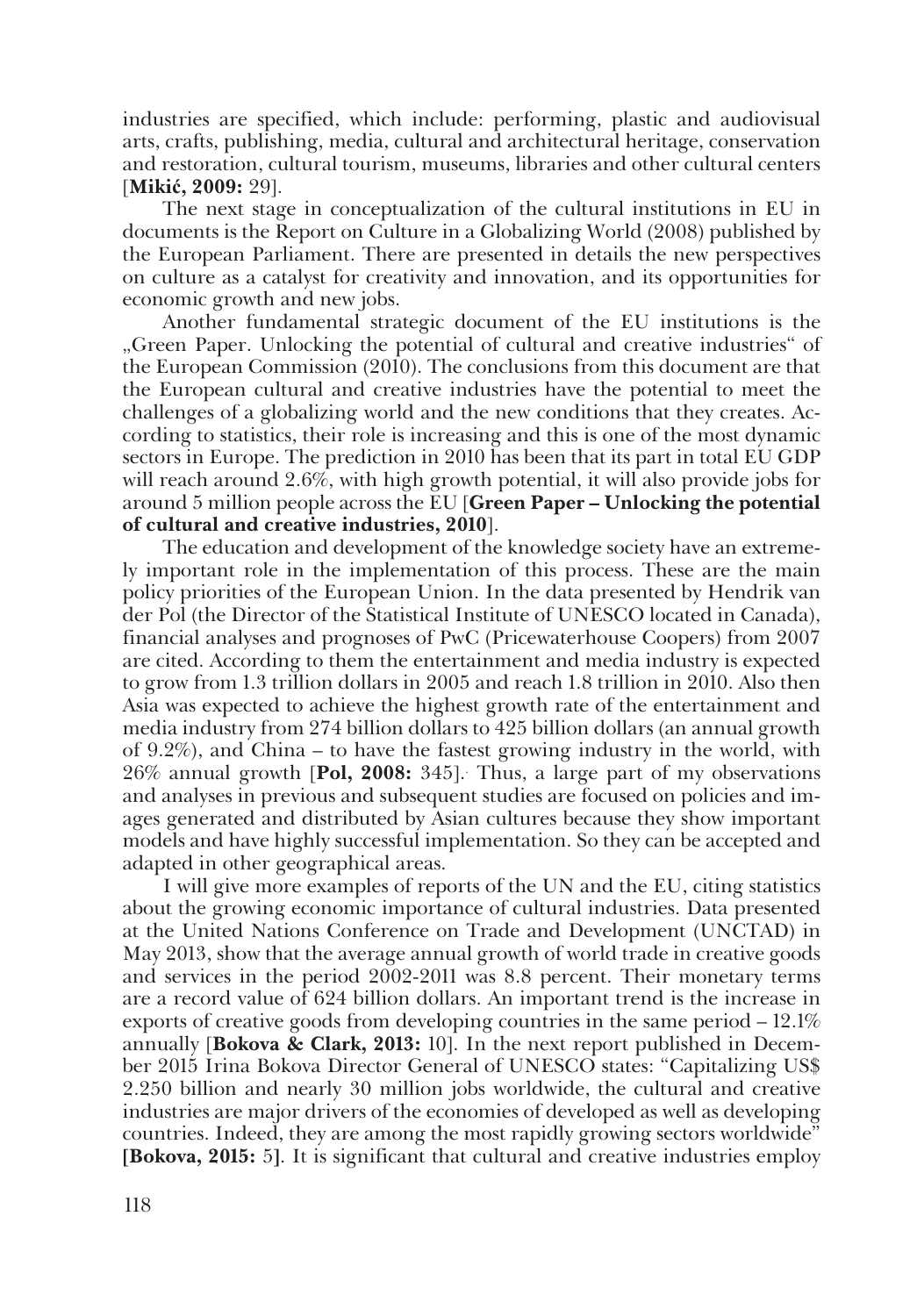industries are specified, which include: performing, plastic and audiovisual arts, crafts, publishing, media, cultural and architectural heritage, conservation and restoration, cultural tourism, museums, libraries and other cultural centers [**Mikić, 2009:** 29].

The next stage in conceptualization of the cultural institutions in EU in documents is the Report on Culture in a Globalizing World (2008) published by the European Parliament. There are presented in details the new perspectives on culture as a catalyst for creativity and innovation, and its opportunities for economic growth and new jobs.

Another fundamental strategic document of the EU institutions is the "Green Paper. Unlocking the potential of cultural and creative industries" of the European Commission (2010). The conclusions from this document are that the European cultural and creative industries have the potential to meet the challenges of a globalizing world and the new conditions that they creates. According to statistics, their role is increasing and this is one of the most dynamic sectors in Europe. The prediction in 2010 has been that its part in total EU GDP will reach around 2.6%, with high growth potential, it will also provide jobs for around 5 million people across the EU [**Green Paper – Unlocking the potential of cultural and creative industries, 2010**].

The education and development of the knowledge society have an extremely important role in the implementation of this process. These are the main policy priorities of the European Union. In the data presented by Hendrik van der Pol (the Director of the Statistical Institute of UNESCO located in Canada), financial analyses and prognoses of PwC (Pricewaterhouse Coopers) from 2007 are cited. According to them the entertainment and media industry is expected to grow from 1.3 trillion dollars in 2005 and reach 1.8 trillion in 2010. Also then Asia was expected to achieve the highest growth rate of the entertainment and media industry from 274 billion dollars to 425 billion dollars (an annual growth of 9.2%), and China – to have the fastest growing industry in the world, with 26% annual growth [**Pol, 2008:** 345].. Thus, a large part of my observations and analyses in previous and subsequent studies are focused on policies and im� ages generated and distributed by Asian cultures because they show important models and have highly successful implementation. So they can be accepted and adapted in other geographical areas.

I will give more examples of reports of the UN and the EU, citing statistics about the growing economic importance of cultural industries. Data presented at the United Nations Conference on Trade and Development (UNCTAD) in May 2013, show that the average annual growth of world trade in creative goods and services in the period 2002-2011 was 8.8 percent. Their monetary terms are a record value of 624 billion dollars. An important trend is the increase in exports of creative goods from developing countries in the same period – 12.1% annually [**Bokova & Clark, 2013:** 10]. In the next report published in Decem� ber 2015 Irina Bokova Director General of UNESCO states: "Capitalizing US\$ 2.250 billion and nearly 30 million jobs worldwide, the cultural and creative industries are major drivers of the economies of developed as well as developing countries. Indeed, they are among the most rapidly growing sectors worldwide" **[Bokova, 2015:** 5**]**. It is significant that cultural and creative industries employ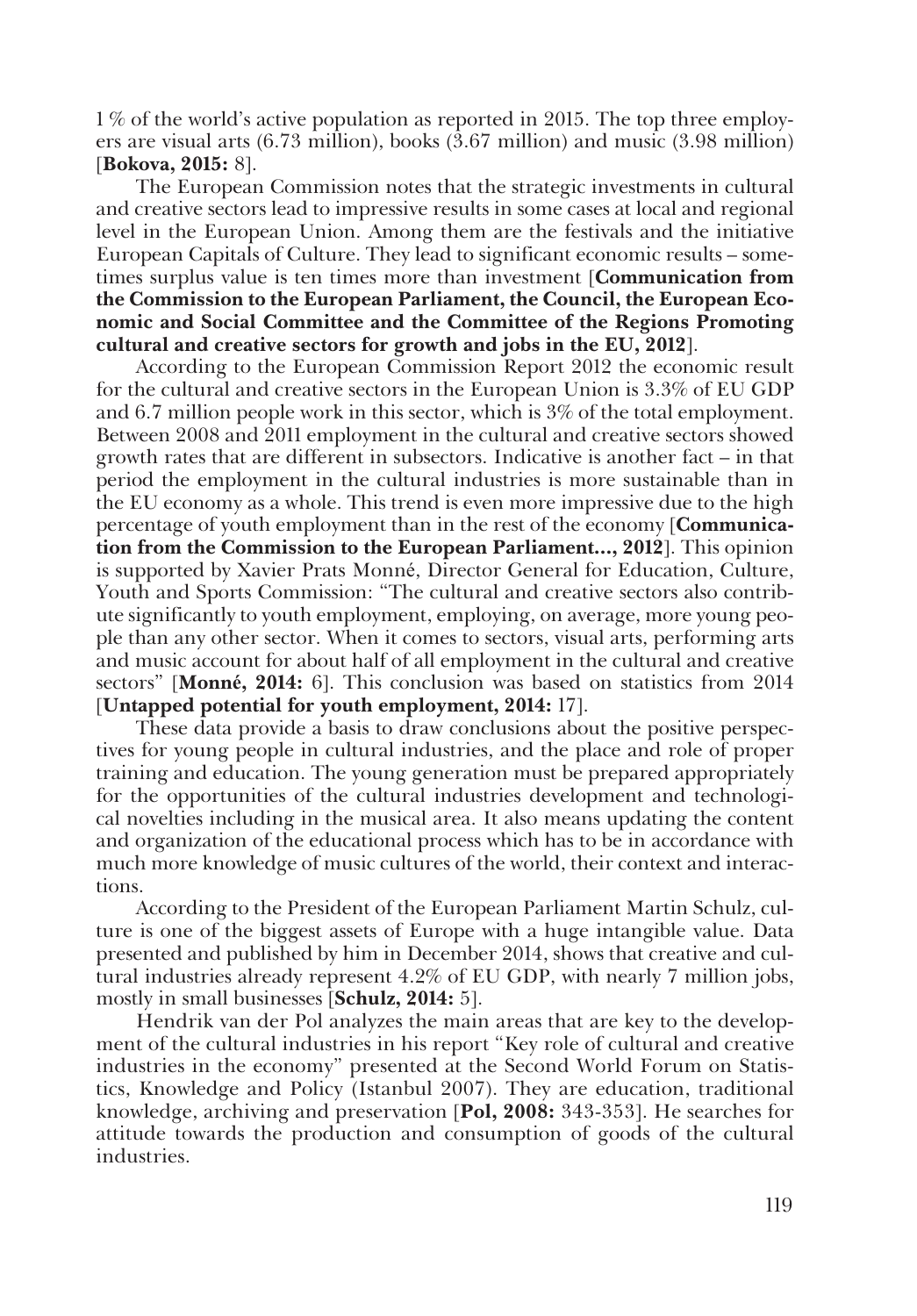1 % of the world's active population as reported in 2015. The top three employers are visual arts (6.73 million), books (3.67 million) and music (3.98 million) [**Bokova, 2015:** 8].

The European Commission notes that the strategic investments in cultural and creative sectors lead to impressive results in some cases at local and regional level in the European Union. Among them are the festivals and the initiative European Capitals of Culture. They lead to significant economic results – some� times surplus value is ten times more than investment [**Communication from the Commission to the European Parliament, the Council, the European Economic and Social Committee and the Committee of the Regions Promoting cultural and creative sectors for growth and jobs in the EU, 2012**].

According to the European Commission Report 2012 the economic result for the cultural and creative sectors in the European Union is 3.3% of EU GDP and 6.7 million people work in this sector, which is 3% of the total employment. Between 2008 and 2011 employment in the cultural and creative sectors showed growth rates that are different in subsectors. Indicative is another fact – in that period the employment in the cultural industries is more sustainable than in the EU economy as a whole. This trend is even more impressive due to the high percentage of youth employment than in the rest of the economy [**Communication from the Commission to the European Parliament…, 2012**]. This opinion is supported by Xavier Prats Monné, Director General for Education, Culture, Youth and Sports Commission: "The cultural and creative sectors also contrib� ute significantly to youth employment, employing, on average, more young peo� ple than any other sector. When it comes to sectors, visual arts, performing arts and music account for about half of all employment in the cultural and creative sectors" [**Monné, 2014:** 6]. This conclusion was based on statistics from 2014 [**Untapped potential for youth employment, 2014:** 17].

These data provide a basis to draw conclusions about the positive perspec� tives for young people in cultural industries, and the place and role of proper training and education. The young generation must be prepared appropriately for the opportunities of the cultural industries development and technologi� cal novelties including in the musical area. It also means updating the content and organization of the educational process which has to be in accordance with much more knowledge of music cultures of the world, their context and interactions.

According to the President of the European Parliament Martin Schulz, culture is one of the biggest assets of Europe with a huge intangible value. Data presented and published by him in December 2014, shows that creative and cul� tural industries already represent 4.2% of EU GDP, with nearly 7 million jobs, mostly in small businesses [**Schulz, 2014:** 5].

Hendrik van der Pol analyzes the main areas that are key to the develop� ment of the cultural industries in his report "Key role of cultural and creative industries in the economy" presented at the Second World Forum on Statistics, Knowledge and Policy (Istanbul 2007). They are education, traditional knowledge, archiving and preservation [**Pol, 2008:** 343-353]. He searches for attitude towards the production and consumption of goods of the cultural industries.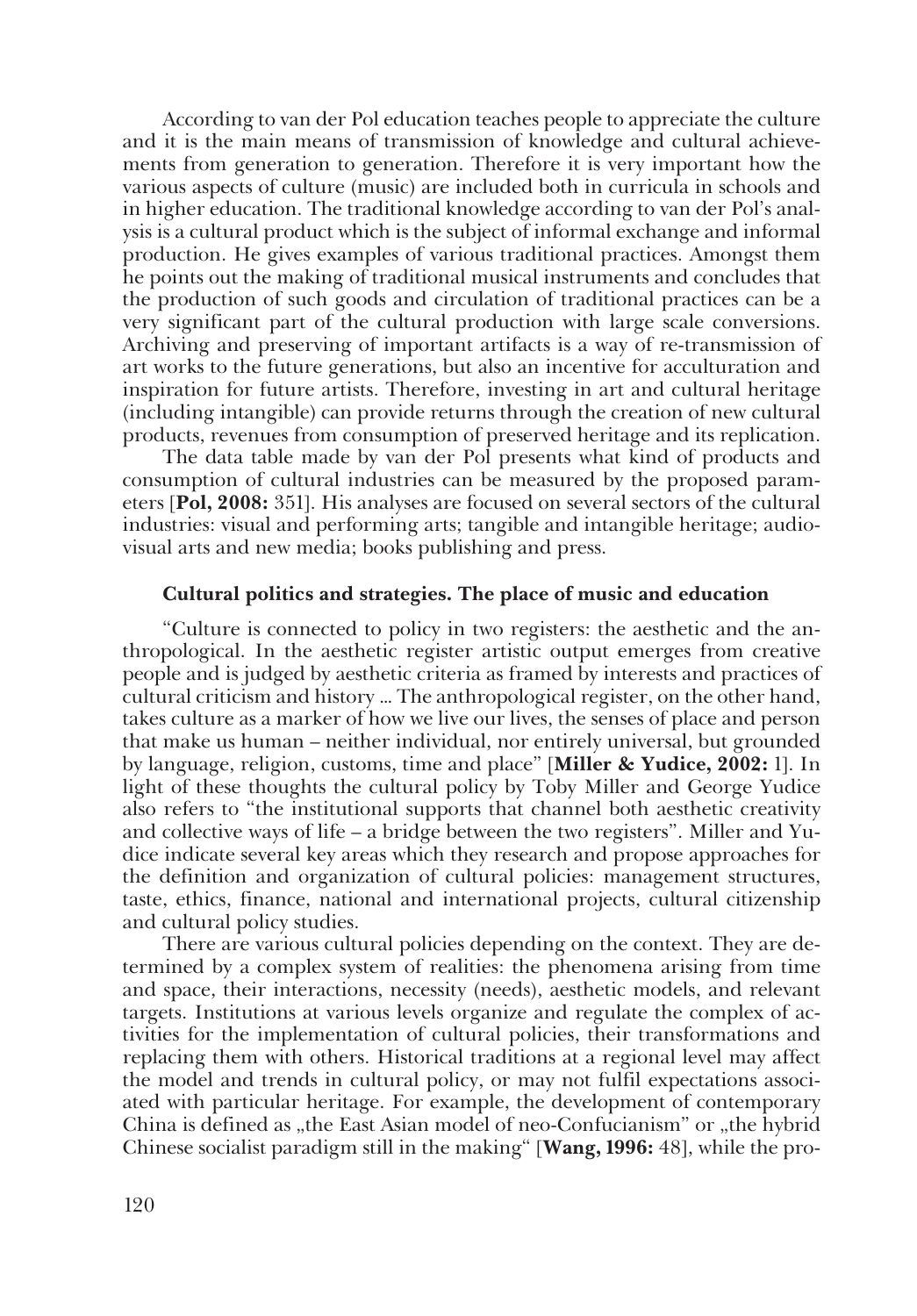According to van der Pol education teaches people to appreciate the culture and it is the main means of transmission of knowledge and cultural achievements from generation to generation. Therefore it is very important how the various aspects of culture (music) are included both in curricula in schools and in higher education. The traditional knowledge according to van der Pol's anal� ysis is a cultural product which is the subject of informal exchange and informal production. He gives examples of various traditional practices. Amongst them he points out the making of traditional musical instruments and concludes that the production of such goods and circulation of traditional practices can be a very significant part of the cultural production with large scale conversions. Archiving and preserving of important artifacts is a way of re-transmission of art works to the future generations, but also an incentive for acculturation and inspiration for future artists. Therefore, investing in art and cultural heritage (including intangible) can provide returns through the creation of new cultural products, revenues from consumption of preserved heritage and its replication.

The data table made by van der Pol presents what kind of products and consumption of cultural industries can be measured by the proposed param� eters [**Pol, 2008:** 351]. His analyses are focused on several sectors of the cultural industries: visual and performing arts; tangible and intangible heritage; audiovisual arts and new media; books publishing and press.

#### **Cultural politics and strategies. The place of music and education**

"Culture is connected to policy in two registers: the aesthetic and the an� thropological. In the aesthetic register artistic output emerges from creative people and is judged by aesthetic criteria as framed by interests and practices of cultural criticism and history … The anthropological register, on the other hand, takes culture as a marker of how we live our lives, the senses of place and person that make us human – neither individual, nor entirely universal, but grounded by language, religion, customs, time and place" [**Miller & Yudice, 2002:** 1]. In light of these thoughts the cultural policy by Toby Miller and George Yudice also refers to "the institutional supports that channel both aesthetic creativity and collective ways of life – a bridge between the two registers". Miller and Yudice indicate several key areas which they research and propose approaches for the definition and organization of cultural policies: management structures, taste, ethics, finance, national and international projects, cultural citizenship and cultural policy studies.

There are various cultural policies depending on the context. They are determined by a complex system of realities: the phenomena arising from time and space, their interactions, necessity (needs), aesthetic models, and relevant targets. Institutions at various levels organize and regulate the complex of ac� tivities for the implementation of cultural policies, their transformations and replacing them with others. Historical traditions at a regional level may affect the model and trends in cultural policy, or may not fulfil expectations associ� ated with particular heritage. For example, the development of contemporary China is defined as "the East Asian model of neo-Confucianism" or "the hybrid Chinese socialist paradigm still in the making" [Wang, 1996: 48], while the pro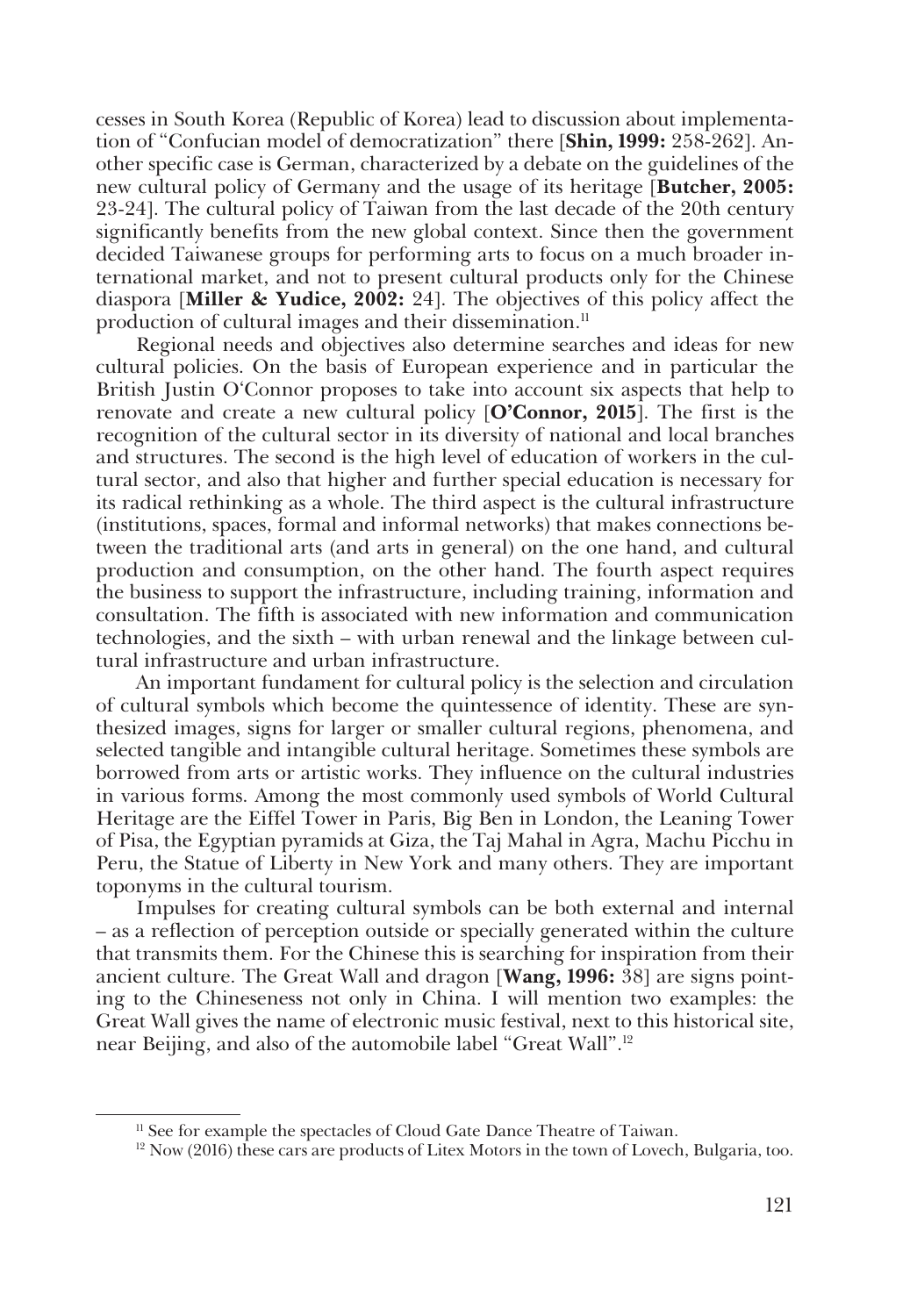cesses in South Korea (Republic of Korea) lead to discussion about implementa� tion of "Confucian model of democratization" there [**Shin, 1999:** 258-262]. An� other specific case is German, characterized by a debate on the guidelines of the new cultural policy of Germany and the usage of its heritage [**Butcher, 2005:**  23-24]. The cultural policy of Taiwan from the last decade of the 20th century significantly benefits from the new global context. Since then the government decided Taiwanese groups for performing arts to focus on a much broader in� ternational market, and not to present cultural products only for the Chinese diaspora [**Miller & Yudice, 2002:** 24]. The objectives of this policy affect the production of cultural images and their dissemination.<sup>11</sup>

Regional needs and objectives also determine searches and ideas for new cultural policies. On the basis of European experience and in particular the British Justin O'Connor proposes to take into account six aspects that help to renovate and create a new cultural policy [**O'Connor, 2015**]. The first is the recognition of the cultural sector in its diversity of national and local branches and structures. The second is the high level of education of workers in the cul� tural sector, and also that higher and further special education is necessary for its radical rethinking as a whole. The third aspect is the cultural infrastructure (institutions, spaces, formal and informal networks) that makes connections be� tween the traditional arts (and arts in general) on the one hand, and cultural production and consumption, on the other hand. The fourth aspect requires the business to support the infrastructure, including training, information and consultation. The fifth is associated with new information and communication technologies, and the sixth – with urban renewal and the linkage between cul� tural infrastructure and urban infrastructure.

An important fundament for cultural policy is the selection and circulation of cultural symbols which become the quintessence of identity. These are syn� thesized images, signs for larger or smaller cultural regions, phenomena, and selected tangible and intangible cultural heritage. Sometimes these symbols are borrowed from arts or artistic works. They influence on the cultural industries in various forms. Among the most commonly used symbols of World Cultural Heritage are the Eiffel Tower in Paris, Big Ben in London, the Leaning Tower of Pisa, the Egyptian pyramids at Giza, the Taj Mahal in Agra, Machu Picchu in Peru, the Statue of Liberty in New York and many others. They are important toponyms in the cultural tourism.

Impulses for creating cultural symbols can be both external and internal – as a reflection of perception outside or specially generated within the culture that transmits them. For the Chinese this is searching for inspiration from their ancient culture. The Great Wall and dragon [**Wang, 1996:** 38] are signs point� ing to the Chineseness not only in China. I will mention two examples: the Great Wall gives the name of electronic music festival, next to this historical site, near Beijing, and also of the automobile label "Great Wall".12

<sup>&</sup>lt;sup>11</sup> See for example the spectacles of Cloud Gate Dance Theatre of Taiwan.

<sup>&</sup>lt;sup>12</sup> Now (2016) these cars are products of Litex Motors in the town of Lovech, Bulgaria, too.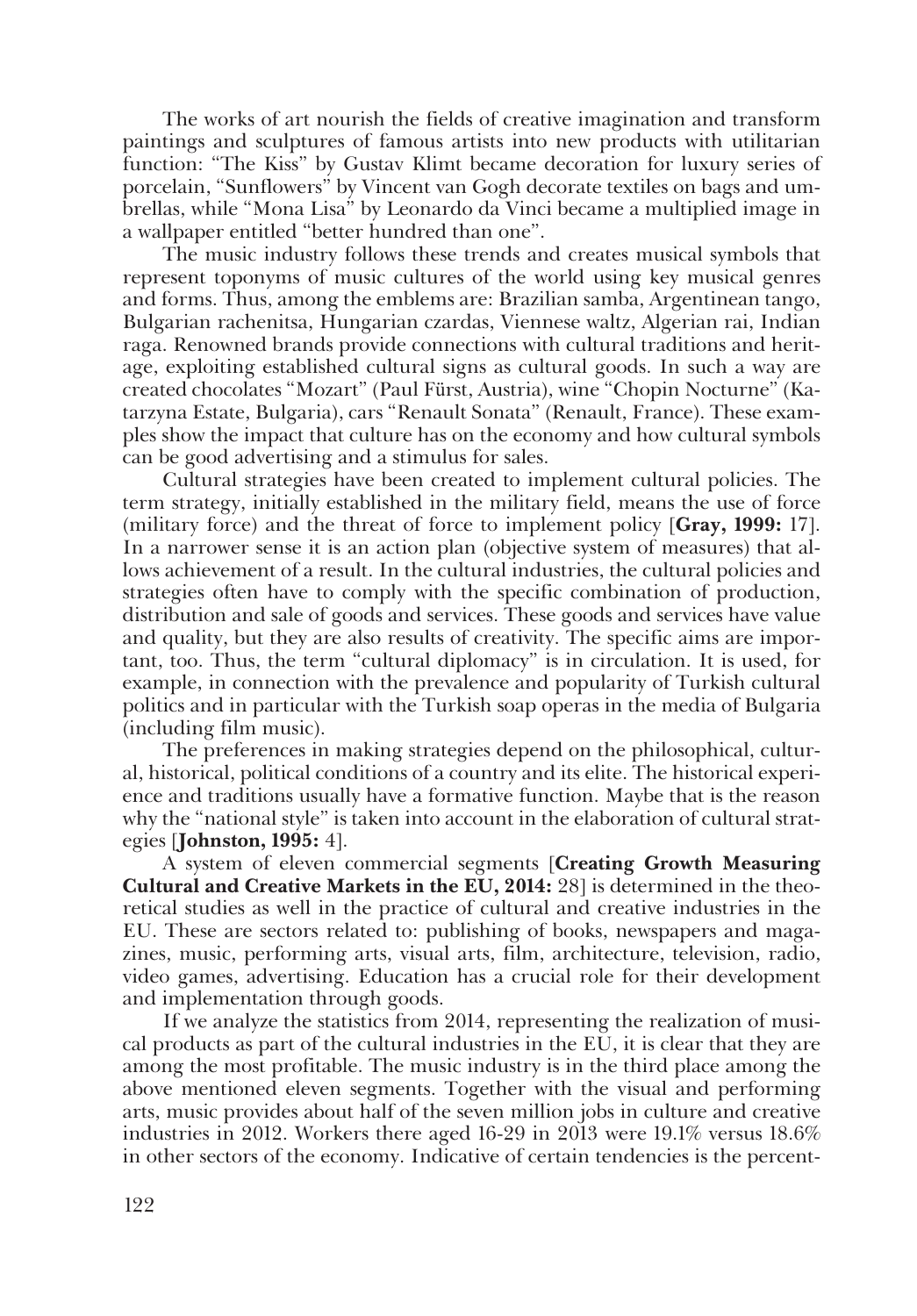The works of art nourish the fields of creative imagination and transform paintings and sculptures of famous artists into new products with utilitarian function: "The Kiss" by Gustav Klimt became decoration for luxury series of porcelain, "Sunflowers" by Vincent van Gogh decorate textiles on bags and um� brellas, while "Mona Lisa" by Leonardo da Vinci became a multiplied image in a wallpaper entitled "better hundred than one".

The music industry follows these trends and creates musical symbols that represent toponyms of music cultures of the world using key musical genres and forms. Thus, among the emblems are: Brazilian samba, Argentinean tango, Bulgarian rachenitsa, Hungarian czardas, Viennese waltz, Algerian rai, Indian raga. Renowned brands provide connections with cultural traditions and herit� age, exploiting established cultural signs as cultural goods. In such a way are created chocolates "Mozart" (Paul Fürst, Austria), wine "Chopin Nocturne" (Ka� tarzyna Estate, Bulgaria), cars "Renault Sonata" (Renault, France). These exam� ples show the impact that culture has on the economy and how cultural symbols can be good advertising and a stimulus for sales.

Cultural strategies have been created to implement cultural policies. The term strategy, initially established in the military field, means the use of force (military force) and the threat of force to implement policy [**Gray, 1999:** 17]. In a narrower sense it is an action plan (objective system of measures) that allows achievement of a result. In the cultural industries, the cultural policies and strategies often have to comply with the specific combination of production, distribution and sale of goods and services. These goods and services have value and quality, but they are also results of creativity. The specific aims are important, too. Thus, the term "cultural diplomacy" is in circulation. It is used, for example, in connection with the prevalence and popularity of Turkish cultural politics and in particular with the Turkish soap operas in the media of Bulgaria (including film music).

The preferences in making strategies depend on the philosophical, cultur� al, historical, political conditions of a country and its elite. The historical experi� ence and traditions usually have a formative function. Maybe that is the reason why the "national style" is taken into account in the elaboration of cultural strategies [**Johnston, 1995:** 4].

A system of eleven commercial segments [**Creating Growth Measuring Cultural and Creative Markets in the EU, 2014:** 28] is determined in the theo� retical studies as well in the practice of cultural and creative industries in the EU. These are sectors related to: publishing of books, newspapers and maga� zines, music, performing arts, visual arts, film, architecture, television, radio, video games, advertising. Education has a crucial role for their development and implementation through goods.

If we analyze the statistics from 2014, representing the realization of musi� cal products as part of the cultural industries in the EU, it is clear that they are among the most profitable. The music industry is in the third place among the above mentioned eleven segments. Together with the visual and performing arts, music provides about half of the seven million jobs in culture and creative industries in 2012. Workers there aged 16-29 in 2013 were 19.1% versus 18.6% in other sectors of the economy. Indicative of certain tendencies is the percent�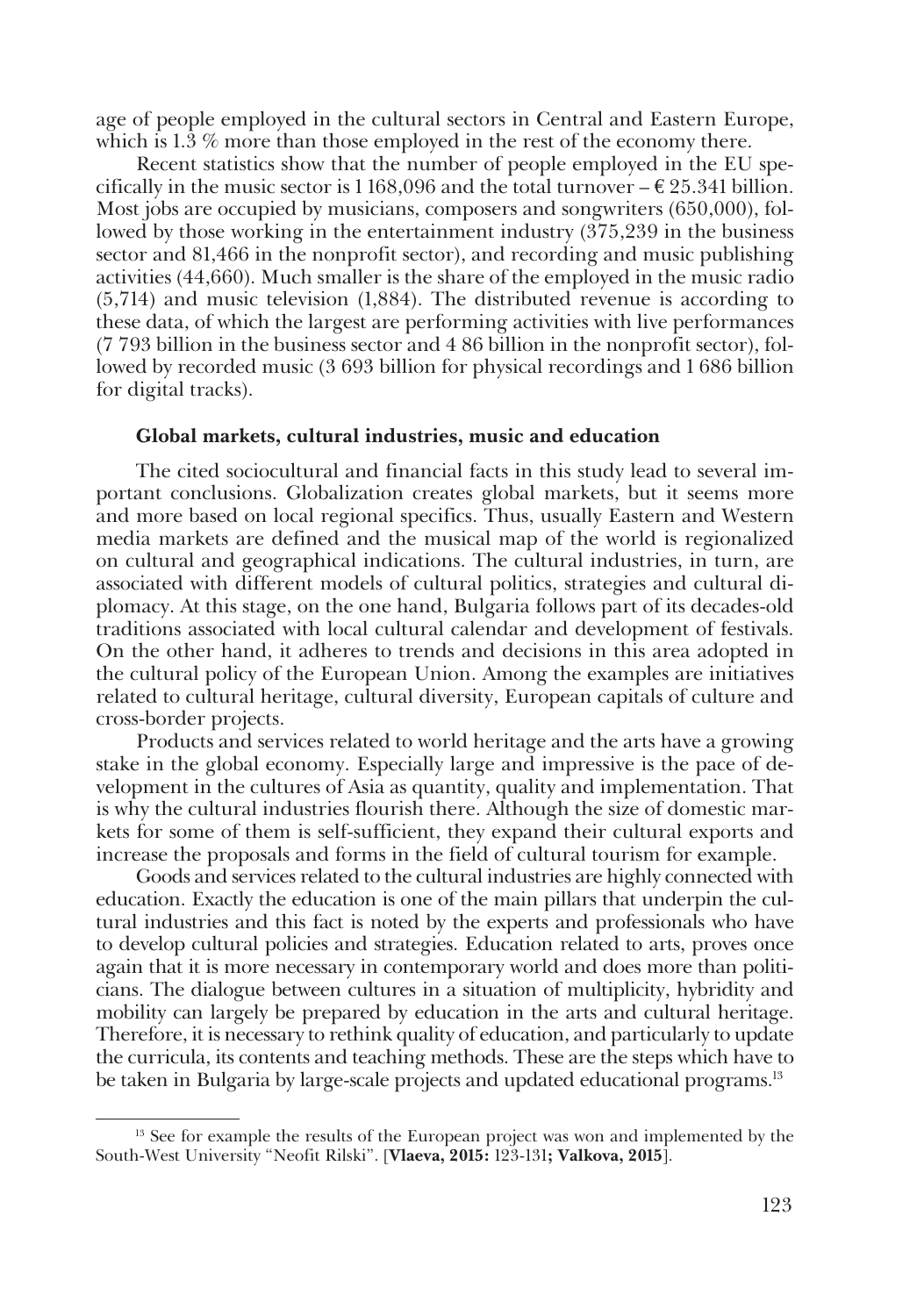age of people employed in the cultural sectors in Central and Eastern Europe, which is 1.3 % more than those employed in the rest of the economy there.

Recent statistics show that the number of people employed in the EU specifically in the music sector is 1 168,096 and the total turnover  $-\epsilon$  25.341 billion. Most jobs are occupied by musicians, composers and songwriters (650,000), followed by those working in the entertainment industry (375,239 in the business sector and 81,466 in the nonprofit sector), and recording and music publishing activities (44,660). Much smaller is the share of the employed in the music radio (5,714) and music television (1,884). The distributed revenue is according to these data, of which the largest are performing activities with live performances  $(7793$  billion in the business sector and  $486$  billion in the nonprofit sector), followed by recorded music (3 693 billion for physical recordings and 1 686 billion for digital tracks).

#### **Global markets, cultural industries, music and education**

The cited sociocultural and financial facts in this study lead to several im� portant conclusions. Globalization creates global markets, but it seems more and more based on local regional specifics. Thus, usually Eastern and Western media markets are defined and the musical map of the world is regionalized on cultural and geographical indications. The cultural industries, in turn, are associated with different models of cultural politics, strategies and cultural di� plomacy. At this stage, on the one hand, Bulgaria follows part of its decades-old traditions associated with local cultural calendar and development of festivals. On the other hand, it adheres to trends and decisions in this area adopted in the cultural policy of the European Union. Among the examples are initiatives related to cultural heritage, cultural diversity, European capitals of culture and cross-border projects.

Products and services related to world heritage and the arts have a growing stake in the global economy. Especially large and impressive is the pace of development in the cultures of Asia as quantity, quality and implementation. That is why the cultural industries flourish there. Although the size of domestic mar� kets for some of them is self-sufficient, they expand their cultural exports and increase the proposals and forms in the field of cultural tourism for example.

Goods and services related to the cultural industries are highly connected with education. Exactly the education is one of the main pillars that underpin the cul� tural industries and this fact is noted by the experts and professionals who have to develop cultural policies and strategies. Education related to arts, proves once again that it is more necessary in contemporary world and does more than politicians. The dialogue between cultures in a situation of multiplicity, hybridity and mobility can largely be prepared by education in the arts and cultural heritage. Therefore, it is necessary to rethink quality of education, and particularly to update the curricula, its contents and teaching methods. These are the steps which have to be taken in Bulgaria by large-scale projects and updated educational programs.13

<sup>&</sup>lt;sup>13</sup> See for example the results of the European project was won and implemented by the South-West University "Neofit Rilski". [**Vlaeva, 2015:** 123-131**; Valkova, 2015**].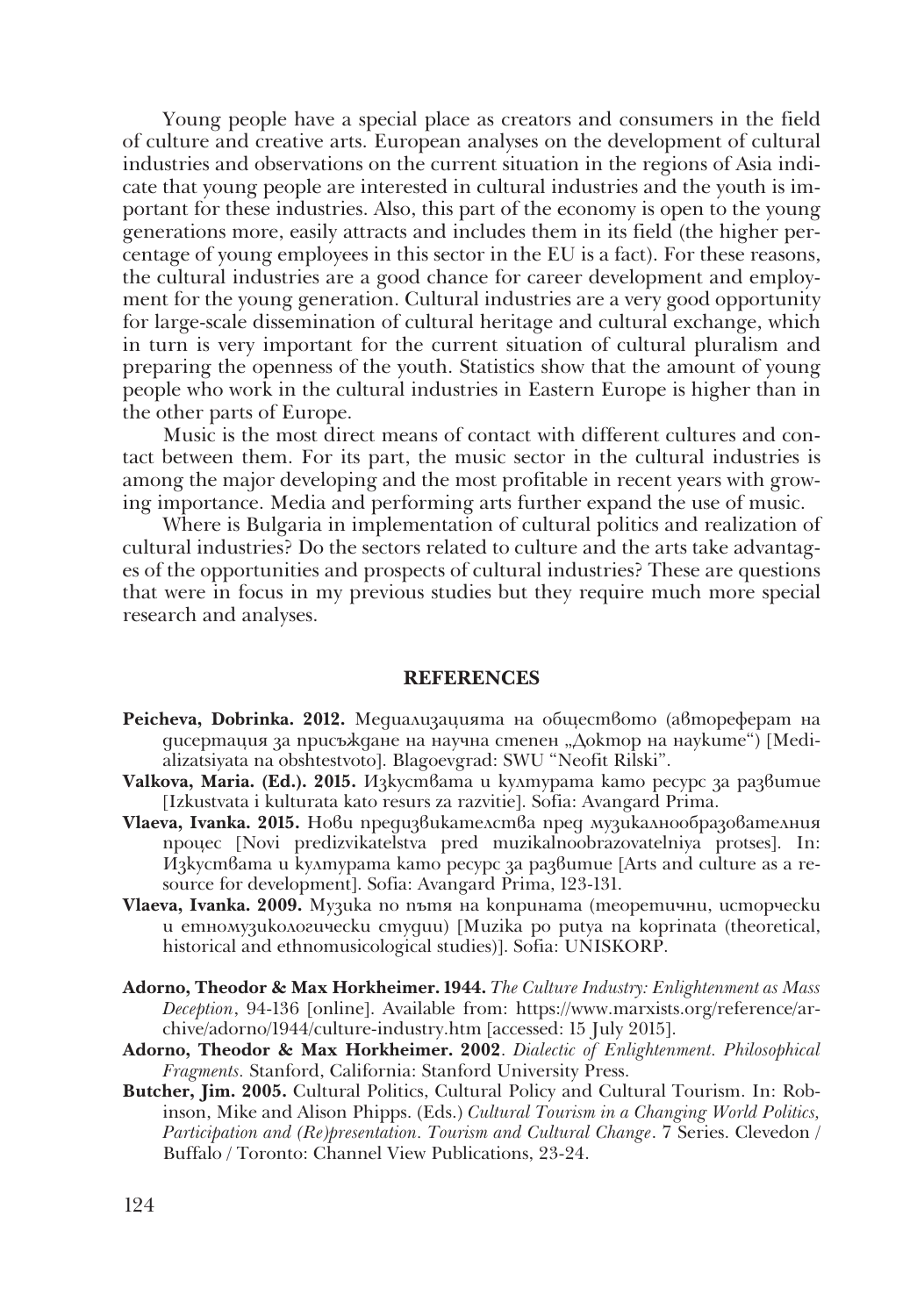Young people have a special place as creators and consumers in the field of culture and creative arts. European analyses on the development of cultural industries and observations on the current situation in the regions of Asia indicate that young people are interested in cultural industries and the youth is important for these industries. Also, this part of the economy is open to the young generations more, easily attracts and includes them in its field (the higher per� centage of young employees in this sector in the EU is a fact). For these reasons, the cultural industries are a good chance for career development and employ� ment for the young generation. Cultural industries are a very good opportunity for large-scale dissemination of cultural heritage and cultural exchange, which in turn is very important for the current situation of cultural pluralism and preparing the openness of the youth. Statistics show that the amount of young people who work in the cultural industries in Eastern Europe is higher than in the other parts of Europe.

Music is the most direct means of contact with different cultures and contact between them. For its part, the music sector in the cultural industries is among the major developing and the most profitable in recent years with growing importance. Media and performing arts further expand the use of music.

Where is Bulgaria in implementation of cultural politics and realization of cultural industries? Do the sectors related to culture and the arts take advantag� es of the opportunities and prospects of cultural industries? These are questions that were in focus in my previous studies but they require much more special research and analyses.

## **REFERENCES**

- **Peicheva, Dobrinka. 2012.** Медиализацията на обществото (автореферат на дисертация за присъждане на научна степен "Доктор на науките") [Medializatsiyata na obshtestvoto]. Blagoevgrad: SWU "Neofit Rilski".
- **Valkova, Maria. (Ed.). 2015.** Изкуствата и културата като ресурс за развитие [Izkustvata i kulturata kato resurs za razvitie]. Sofia: Avangard Prima.
- **Vlaeva, Ivanka. 2015.** Нови предизвикателства пред музикалнообразователния процес [Novi predizvikatelstva pred muzikalnoobrazovatelniya protses]. In: Изкуствата и културата като ресурс за развитие [Arts and culture as a resource for development]. Sofia: Avangard Prima, 123-131.
- **Vlaeva, Ivanka. 2009.** Музика по пътя на коприната (теоретични, исторчески и етномузикологически студии) [Muzika po putya na koprinata (theoretical, historical and ethnomusicological studies)]. Sofia: UNISKORP.
- **Adorno, Theodor & Max Horkheimer. 1944.** *The Culture Industry: Enlightenment as Mass Deception*, 94-136 [online]. Available from: https://www.marxists.org/reference/ar� chive/adorno/1944/culture-industry.htm [accessed: 15 July 2015].
- **Adorno, Theodor & Max Horkheimer. 2002**. *Dialectic of Enlightenment. Philosophical Fragments.* Stanford, California: Stanford University Press.
- **Butcher, Jim. 2005.** Cultural Politics, Cultural Policy and Cultural Tourism. In: Robinson, Mike and Alison Phipps. (Eds.) *Cultural Tourism in a Changing World Politics, Participation and (Re)presentation. Tourism and Cultural Change.* 7 Series. Clevedon / Buffalo / Toronto: Channel View Publications, 23-24.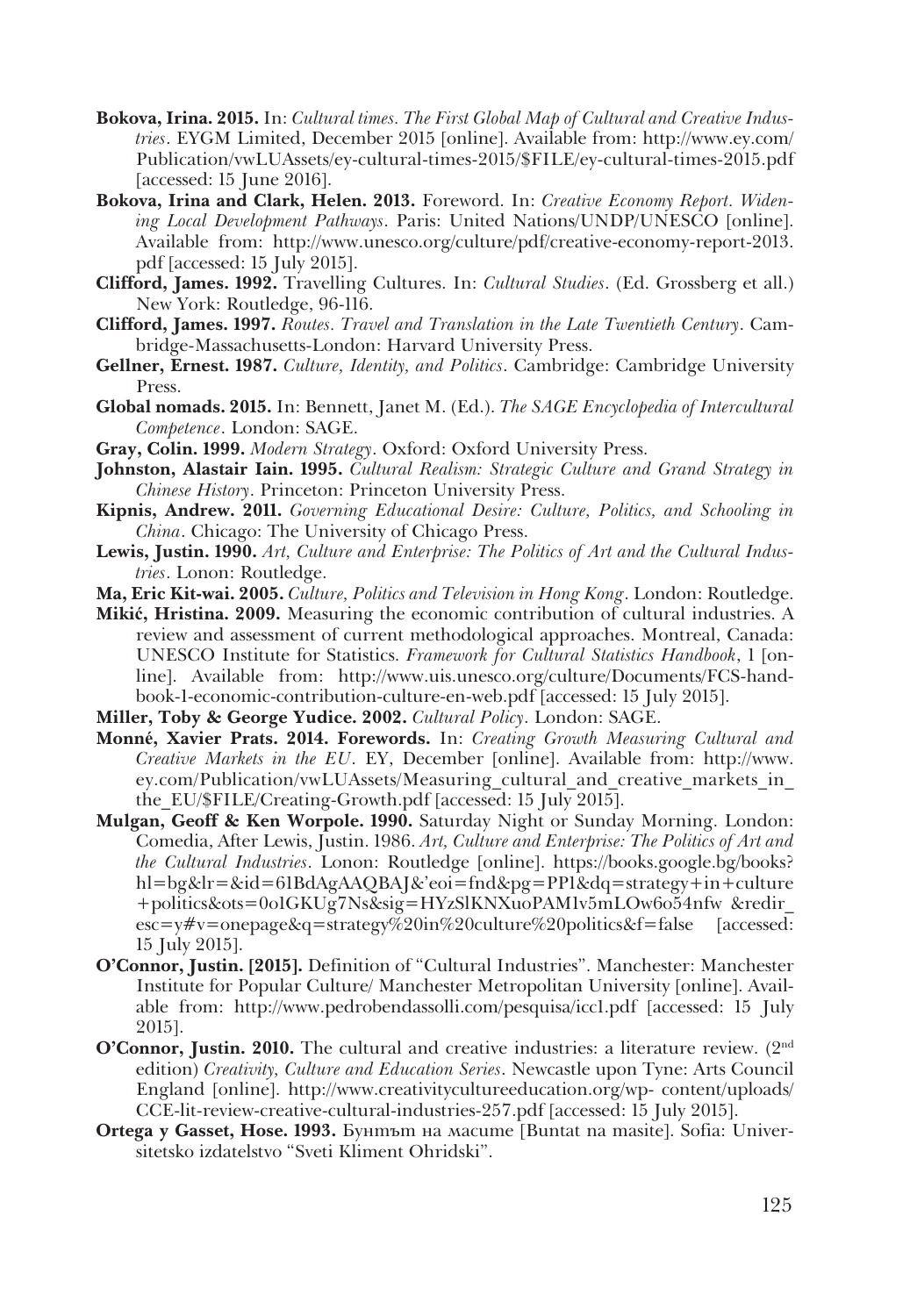- **Bokova, Irina. 2015.** In: *Cultural times. The First Global Map of Cultural and Creative Industries*. EYGM Limited, December 2015 [online]. Available from: http://www.ey.com/ Publication/vwLUAssets/ey-cultural-times-2015/\$FILE/ey-cultural-times-2015.pdf [accessed: 15 June 2016].
- **Bokova, Irina and Clark, Helen. 2013.** Foreword. In: *Creative Economy Report. Widening Local Development Pathways*. Paris: United Nations/UNDP/UNESCO [online]. Available from: http://www.unesco.org/culture/pdf/creative-economy-report-2013. pdf [accessed: 15 July 2015].
- **Clifford, James. 1992.** Travelling Cultures. In: *Cultural Studies*. (Ed. Grossberg et all.) New York: Routledge, 96-116.
- **Clifford, James. 1997.** *Routes. Travel and Translation in the Late Twentieth Century*. Cam� bridge-Massachusetts-London: Harvard University Press.
- **Gellner, Ernest. 1987.** *Culture, Identity, and Politics*. Cambridge: Cambridge University Press.
- **Global nomads. 2015.** In: Bennett, Janet M. (Ed.). *The SAGE Encyclopedia of Intercultural Competence*. London: SAGE.
- **Gray, Colin. 1999.** *Modern Strategy*. Oxford: Oxford University Press.
- **Johnston, Alastair Iain. 1995.** *Cultural Realism: Strategic Culture and Grand Strategy in Chinese History*. Princeton: Princeton University Press.
- **Kipnis, Andrew. 2011.** *Governing Educational Desire: Culture, Politics, and Schooling in China*. Chicago: The University of Chicago Press.
- **Lewis, Justin. 1990.** *Art, Culture and Enterprise: The Politics of Art and the Cultural Industries*. Lonon: Routledge.
- **Ma, Eric Kit-wai. 2005.** *Culture, Politics and Television in Hong Kong*. London: Routledge.
- **Mikić, Hristina. 2009.** Measuring the economic contribution of cultural industries. A review and assessment of current methodological approaches. Montreal, Canada: UNESCO Institute for Statistics. *Framework for Cultural Statistics Handbook*, 1 [on� line]. Available from: http://www.uis.unesco.org/culture/Documents/FCS-hand� book-1-economic-contribution-culture-en-web.pdf [accessed: 15 July 2015].
- **Miller, Toby & George Yudice. 2002.** *Cultural Policy*. London: SAGE.
- **Monné, Xavier Prats. 2014. Forewords.** In: *Creating Growth Measuring Cultural and Creative Markets in the EU*. EY, December [online]. Available from: http://www. ey.com/Publication/vwLUAssets/Measuring\_cultural\_and\_creative\_markets\_in\_ the\_EU/\$FILE/Creating-Growth.pdf [accessed: 15 July 2015].
- **Mulgan, Geoff & Ken Worpole. 1990.** Saturday Night or Sunday Morning. London: Comedia, After Lewis, Justin. 1986. *Art, Culture and Enterprise: The Politics of Art and the Cultural Industries*. Lonon: Routledge [online]. https://books.google.bg/books? hl=bg&lr=&id=61BdAgAAQBAJ&'eoi=fnd&pg=PP1&dq=strategy+in+culture +politics&ots=0o1GKUg7Ns&sig=HYzSlKNXuoPAM1v5mLOw6o54nfw &redir\_ esc=y#v=onepage&q=strategy%20in%20culture%20politics&f=false [accessed: 15 July 2015].
- **O'Connor, Justin. [2015].** Definition of "Cultural Industries". Manchester: Manchester Institute for Popular Culture/ Manchester Metropolitan University [online]. Avail� able from: http://www.pedrobendassolli.com/pesquisa/icc1.pdf [accessed: 15 July 2015].
- **O'Connor, Justin. 2010.** The cultural and creative industries: a literature review. (2<sup>nd</sup>) edition) *Creativity, Culture and Education Series*. Newcastle upon Tyne: Arts Council England [online]. http://www.creativitycultureeducation.org/wp- content/uploads/ CCE-lit-review-creative-cultural-industries-257.pdf [accessed: 15 July 2015].
- **Ortega y Gasset, Hose. 1993.** Бунтът на масите [Buntat na masite]. Sofia: Univer� sitetsko izdatelstvo "Sveti Kliment Ohridski".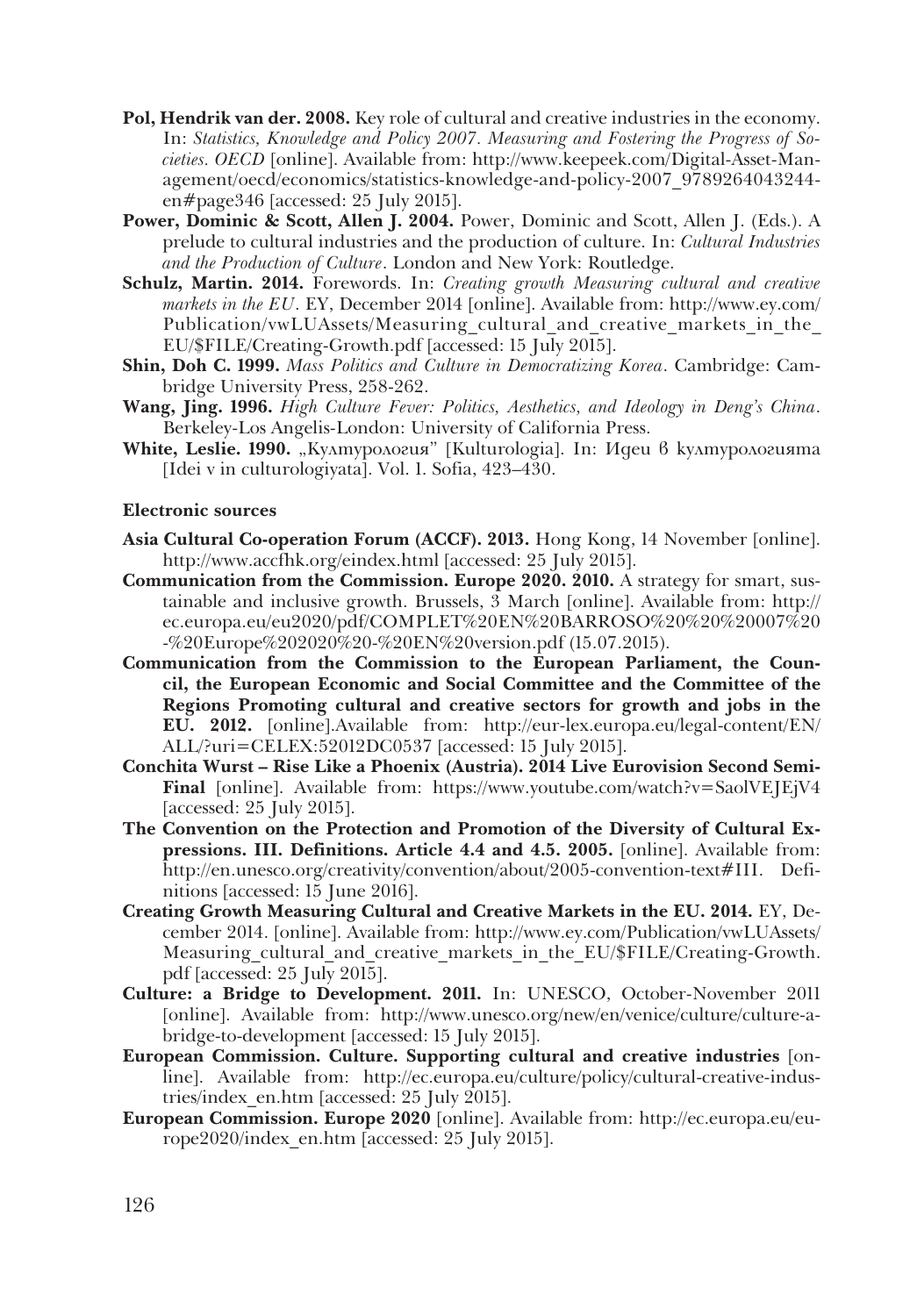- **Pol, Hendrik van der. 2008.** Key role of cultural and creative industries in the economy. In: *Statistics, Knowledge and Policy 2007. Measuring and Fostering the Progress of Societies. OECD* [online]. Available from: http://www.keepeek.com/Digital-Asset-Man� agement/oecd/economics/statistics-knowledge-and-policy-2007\_9789264043244en#page346 [accessed: 25 July 2015].
- **Power, Dominic & Scott, Allen J. 2004.** Power, Dominic and Scott, Allen J. (Eds.). A prelude to cultural industries and the production of culture. In: *Cultural Industries and the Production of Culture*. London and New York: Routledge.
- **Schulz, Martin. 2014.** Forewords. In: *Creating growth Measuring cultural and creative markets in the EU*. EY, December 2014 [online]. Available from: http://www.ey.com/ Publication/vwLUAssets/Measuring\_cultural\_and\_creative\_markets\_in\_the\_ EU/\$FILE/Creating-Growth.pdf [accessed: 15 July 2015].
- **Shin, Doh C. 1999.** *Mass Politics and Culture in Democratizing Korea*. Cambridge: Cam� bridge University Press, 258-262.
- **Wang, Jing. 1996.** *High Culture Fever: Politics, Aesthetics, and Ideology in Deng's China*. Berkeley-Los Angelis-London: University of California Press.
- **White, Leslie. 1990.** "Културология" [Kulturologia]. In: Идеи в културологията [Idei v in culturologiyata]. Vol. 1. Sofia, 423–430.

### **Electronic sources**

- **Asia Cultural Co-operation Forum (ACCF). 2013.** Hong Kong, 14 November [online]. http://www.accfhk.org/eindex.html [accessed: 25 July 2015].
- **Communication from the Commission. Europe 2020. 2010.** A strategy for smart, sustainable and inclusive growth. Brussels, 3 March [online]. Available from: http:// ec.europa.eu/eu2020/pdf/COMPLET%20EN%20BARROSO%20%20%20007%20 -%20Europe%202020%20-%20EN%20version.pdf (15.07.2015).
- **Communication from the Commission to the European Parliament, the Council, the European Economic and Social Committee and the Committee of the Regions Promoting cultural and creative sectors for growth and jobs in the EU. 2012.** [online].Available from: http://eur-lex.europa.eu/legal-content/EN/ ALL/?uri=CELEX:52012DC0537 [accessed: 15 July 2015].
- **Conchita Wurst Rise Like a Phoenix (Austria). 2014 Live Eurovision Second Semi-Final** [online]. Available from: https://www.youtube.com/watch?v=SaolVEJEjV4 [accessed: 25 July 2015].
- **The Convention on the Protection and Promotion of the Diversity of Cultural Expressions. III. Definitions. Article 4.4 and 4.5. 2005.** [online]. Available from: http://en.unesco.org/creativity/convention/about/2005-convention-text#III. Definitions [accessed: 15 June 2016].
- **Creating Growth Measuring Cultural and Creative Markets in the EU. 2014.** EY, De� cember 2014. [online]. Available from: http://www.ey.com/Publication/vwLUAssets/ Measuring cultural and creative markets in the EU/\$FILE/Creating-Growth. pdf [accessed: 25 July 2015].
- **Culture: a Bridge to Development. 2011.** In: UNESCO, October-November 2011 [online]. Available from: http://www.unesco.org/new/en/venice/culture/culture-abridge-to-development [accessed: 15 July 2015].
- **European Commission. Culture. Supporting cultural and creative industries** [on� line]. Available from: http://ec.europa.eu/culture/policy/cultural-creative-indus� tries/index\_en.htm [accessed: 25 July 2015].
- **European Commission. Europe 2020** [online]. Available from: http://ec.europa.eu/eu� rope2020/index\_en.htm [accessed: 25 July 2015].